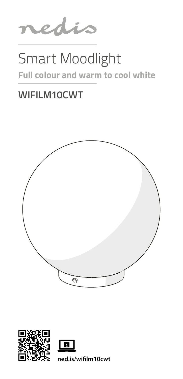

# Smart Moodlight

### **Full colour and warm to cool white**

### **WIFILM10CWT**





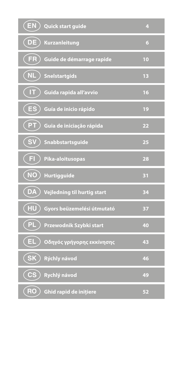| EN) Quick start guide                              | 4              |
|----------------------------------------------------|----------------|
| (DE)<br>Kurzanleitung                              | 6              |
| FR<br>Guide de démarrage rapide                    | 10             |
| <b>NL</b><br><b>Snelstartgids</b>                  | 1 <sup>3</sup> |
| π<br>Guida rapida all'avvio                        | 16             |
| $\overline{\mathsf{}}$ ES<br>Guía de inicio rápido | 19             |
| (PT<br>Guia de iniciação rápida                    | 22             |
| <b>SV</b><br>Snabbstartsguide                      | 25             |
| Π<br>Pika-aloitusopas                              | 28             |
| $\widetilde{N}$<br>Hurtigguide                     | 31             |
| (DA<br>Vejledning til hurtig start                 | 34             |
| $\sqrt{HU}$<br>Gyors beüzemelési útmutató          | 37             |
| PL<br>Przewodnik Szybki start                      | 40             |
| $($ EL $\,$<br>Οδηγός γρήγορης εκκίνησης           | 43             |
| $\overline{\textsf{S}}$ K<br>Rýchly návod          | 46             |
| <b>CS</b><br>Rychlý návod                          | 49             |
| (RO<br>Ghid rapid de inițiere                      | 52             |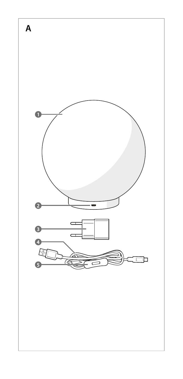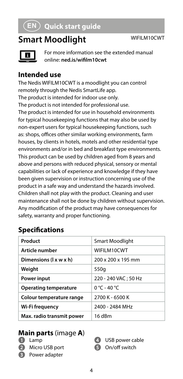### **Smart Moodlight** WIFILM10CWT



For more information see the extended manual online: **ned.is/wifilm10cwt**

#### **Intended use**

The Nedis WIFILM10CWT is a moodlight you can control remotely through the Nedis SmartLife app. The product is intended for indoor use only. The product is not intended for professional use. The product is intended for use in household environments for typical housekeeping functions that may also be used by non-expert users for typical housekeeping functions, such as: shops, offices other similar working environments, farm houses, by clients in hotels, motels and other residential type environments and/or in bed and breakfast type environments. This product can be used by children aged from 8 years and above and persons with reduced physical, sensory or mental capabilities or lack of experience and knowledge if they have been given supervision or instruction concerning use of the product in a safe way and understand the hazards involved. Children shall not play with the product. Cleaning and user maintenance shall not be done by children without supervision. Any modification of the product may have consequences for safety, warranty and proper functioning.

#### **Specifications**

| Product                      | Smart Moodlight      |
|------------------------------|----------------------|
|                              |                      |
| Article number               | WIFILM10CWT          |
| Dimensions (I x w x h)       | 200 x 200 x 195 mm   |
| Weight                       | 550g                 |
| Power input                  | 220 - 240 VAC; 50 Hz |
| <b>Operating temperature</b> | $0 °C - 40 °C$       |
| Colour temperature range     | 2700 K - 6500 K      |
| Wi-Fi frequency              | 2400 - 2484 MHz      |
| Max. radio transmit power    | 16 dBm               |

#### **Main parts** (image **A**)

- **1** Lamp
- **2** Micro USB port
- **3** Power adapter
- **4** USB power cable
- **5** On/off switch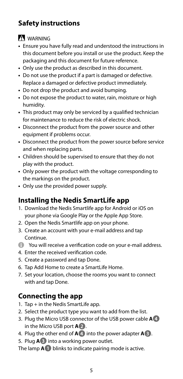#### **Safety instructions**

#### **N** WARNING

- **•** Ensure you have fully read and understood the instructions in this document before you install or use the product. Keep the packaging and this document for future reference.
- **•** Only use the product as described in this document.
- **•** Do not use the product if a part is damaged or defective. Replace a damaged or defective product immediately.
- **•** Do not drop the product and avoid bumping.
- **•** Do not expose the product to water, rain, moisture or high humidity.
- **•** This product may only be serviced by a qualified technician for maintenance to reduce the risk of electric shock.
- **•** Disconnect the product from the power source and other equipment if problems occur.
- **•** Disconnect the product from the power source before service and when replacing parts.
- **•** Children should be supervised to ensure that they do not play with the product.
- **•** Only power the product with the voltage corresponding to the markings on the product.
- **•** Only use the provided power supply.

#### **Installing the Nedis SmartLife app**

- 1. Download the Nedis Smartlife app for Android or iOS on your phone via Google Play or the Apple App Store.
- 2. Open the Nedis Smartlife app on your phone.
- 3. Create an account with your e-mail address and tap Continue.
- 4 You will receive a verification code on your e-mail address.
- 4. Enter the received verification code.
- 5. Create a password and tap Done.
- 6. Tap Add Home to create a SmartLife Home.
- 7. Set your location, choose the rooms you want to connect with and tap Done.

#### **Connecting the app**

- 1. Tap + in the Nedis SmartLife app.
- 2. Select the product type you want to add from the list.
- 3. Plug the Micro USB connector of the USB power cable **A4** in the Micro USB port **A2**.
- 4. Plug the other end of **A4** into the power adapter **A3**.
- 5. Plug **A3** into a working power outlet.

The lamp **A1** blinks to indicate pairing mode is active.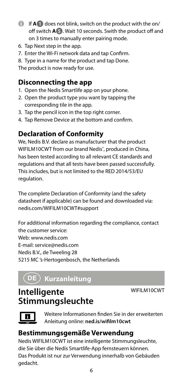- 4 If **A1** does not blink, switch on the product with the on/ off switch **A5**. Wait 10 seconds. Swith the product off and on 3 times to manually enter pairing mode.
- 6. Tap Next step in the app.
- 7. Enter the Wi-Fi network data and tap Confirm.
- 8. Type in a name for the product and tap Done.

The product is now ready for use.

#### **Disconnecting the app**

- 1. Open the Nedis Smartlife app on your phone.
- 2. Open the product type you want by tapping the corresponding tile in the app.
- 3. Tap the pencil icon in the top right corner.
- 4. Tap Remove Device at the bottom and confirm.

#### **Declaration of Conformity**

We, Nedis B.V. declare as manufacturer that the product WIFILM10CWT from our brand Nedis® , produced in China, has been tested according to all relevant CE standards and regulations and that all tests have been passed successfully. This includes, but is not limited to the RED 2014/53/EU regulation.

The complete Declaration of Conformity (and the safety datasheet if applicable) can be found and downloaded via: nedis.com/WIFILM10CWT#support

For additional information regarding the compliance, contact the customer service: Web: www.nedis.com E-mail: service@nedis.com Nedis B.V., de Tweeling 28 5215 MC 's-Hertogenbosch, the Netherlands

### DE Kurzanleitung

WIFILM10CWT

#### **Intelligente Stimmungsleuchte**

Weitere Informationen finden Sie in der erweiterten Anleitung online: **ned.is/wifilm10cwt**

#### **Bestimmungsgemäße Verwendung**

Nedis WIFILM10CWT ist eine intelligente Stimmungsleuchte, die Sie über die Nedis Smartlife-App fernsteuern können. Das Produkt ist nur zur Verwendung innerhalb von Gebäuden gedacht.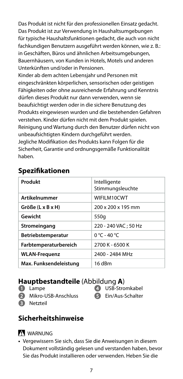Das Produkt ist nicht für den professionellen Einsatz gedacht. Das Produkt ist zur Verwendung in Haushaltsumgebungen für typische Haushaltsfunktionen gedacht, die auch von nicht fachkundigen Benutzern ausgeführt werden können, wie z. B.: in Geschäften, Büros und ähnlichen Arbeitsumgebungen, Bauernhäusern, von Kunden in Hotels, Motels und anderen Unterkünften und/oder in Pensionen.

Kinder ab dem achten Lebensjahr und Personen mit eingeschränkten körperlichen, sensorischen oder geistigen Fähigkeiten oder ohne ausreichende Erfahrung und Kenntnis dürfen dieses Produkt nur dann verwenden, wenn sie beaufsichtigt werden oder in die sichere Benutzung des Produkts eingewiesen wurden und die bestehenden Gefahren verstehen. Kinder dürfen nicht mit dem Produkt spielen. Reinigung und Wartung durch den Benutzer dürfen nicht von unbeaufsichtigten Kindern durchgeführt werden. Jegliche Modifikation des Produkts kann Folgen für die Sicherheit, Garantie und ordnungsgemäße Funktionalität haben.

#### **Spezifikationen**

| Produkt                              | Intelligente<br>Stimmungsleuchte |
|--------------------------------------|----------------------------------|
| Artikelnummer                        | WIFILM10CWT                      |
| $Gr\ddot{\mathrm{o}}$ ße (L x B x H) | 200 x 200 x 195 mm               |
| Gewicht                              | 550g                             |
| Stromeingang                         | 220 - 240 VAC: 50 Hz             |
| Betriebstemperatur                   | $0 °C - 40 °C$                   |
| Farbtemperaturbereich                | 2700 K - 6500 K                  |
| <b>WLAN-Frequenz</b>                 | 2400 - 2484 MHz                  |
| Max. Funksendeleistung               | 16 dBm                           |

#### **Hauptbestandteile** (Abbildung **A**)

- **1** Lampe
- **2** Mikro-USB-Anschluss
- **3** Netzteil

#### **Sicherheitshinweise**

#### **WARNUNG**

**•** Vergewissern Sie sich, dass Sie die Anweisungen in diesem Dokument vollständig gelesen und verstanden haben, bevor Sie das Produkt installieren oder verwenden. Heben Sie die

- **4** USB-Stromkabel
- **5** Ein/Aus-Schalter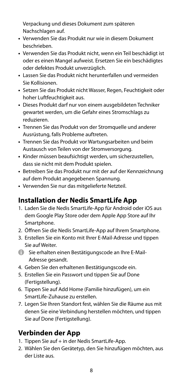Verpackung und dieses Dokument zum späteren Nachschlagen auf.

- **•** Verwenden Sie das Produkt nur wie in diesem Dokument beschrieben.
- **•** Verwenden Sie das Produkt nicht, wenn ein Teil beschädigt ist oder es einen Mangel aufweist. Ersetzen Sie ein beschädigtes oder defektes Produkt unverzüglich.
- **•** Lassen Sie das Produkt nicht herunterfallen und vermeiden Sie Kollisionen.
- **•** Setzen Sie das Produkt nicht Wasser, Regen, Feuchtigkeit oder hoher Luftfeuchtigkeit aus.
- **•** Dieses Produkt darf nur von einem ausgebildeten Techniker gewartet werden, um die Gefahr eines Stromschlags zu reduzieren.
- **•** Trennen Sie das Produkt von der Stromquelle und anderer Ausrüstung, falls Probleme auftreten.
- **•** Trennen Sie das Produkt vor Wartungsarbeiten und beim Austausch von Teilen von der Stromversorgung.
- **•** Kinder müssen beaufsichtigt werden, um sicherzustellen, dass sie nicht mit dem Produkt spielen.
- **•** Betreiben Sie das Produkt nur mit der auf der Kennzeichnung auf dem Produkt angegebenen Spannung.
- **•** Verwenden Sie nur das mitgelieferte Netzteil.

#### **Installation der Nedis SmartLife App**

- 1. Laden Sie die Nedis SmartLife-App für Android oder iOS aus dem Google Play Store oder dem Apple App Store auf Ihr Smartphone.
- 2. Öffnen Sie die Nedis SmartLife-App auf Ihrem Smartphone.
- 3. Erstellen Sie ein Konto mit Ihrer E-Mail-Adresse und tippen Sie auf Weiter.
- 4 Sie erhalten einen Bestätigungscode an Ihre E-Mail-Adresse gesandt.
- 4. Geben Sie den erhaltenen Bestätigungscode ein.
- 5. Erstellen Sie ein Passwort und tippen Sie auf Done (Fertigstellung).
- 6. Tippen Sie auf Add Home (Familie hinzufügen), um ein SmartLife-Zuhause zu erstellen.
- 7. Legen Sie Ihren Standort fest, wählen Sie die Räume aus mit denen Sie eine Verbindung herstellen möchten, und tippen Sie auf Done (Fertigstellung).

#### **Verbinden der App**

- 1. Tippen Sie auf + in der Nedis SmartLife-App.
- 2. Wählen Sie den Gerätetyp, den Sie hinzufügen möchten, aus der Liste aus.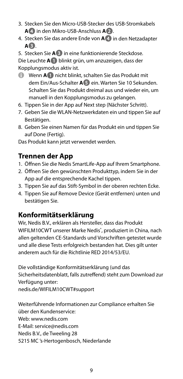- 3. Stecken Sie den Micro-USB-Stecker des USB-Stromkabels **A4** in den Mikro-USB-Anschluss **A2**.
- 4. Stecken Sie das andere Ende von **A4** in den Netzadapter **A3**.
- 5. Stecken Sie **A3** in eine funktionierende Steckdose.

Die Leuchte **A1** blinkt grün, um anzuzeigen, dass der Kopplungsmodus aktiv ist.

- 4 Wenn **A1** nicht blinkt, schalten Sie das Produkt mit dem Ein/Aus-Schalter **A5** ein. Warten Sie 10 Sekunden. Schalten Sie das Produkt dreimal aus und wieder ein, um manuell in den Kopplungsmodus zu gelangen.
- 6. Tippen Sie in der App auf Next step (Nächster Schritt).
- 7. Geben Sie die WLAN-Netzwerkdaten ein und tippen Sie auf Bestätigen.
- 8. Geben Sie einen Namen für das Produkt ein und tippen Sie auf Done (Fertig).

Das Produkt kann jetzt verwendet werden.

#### **Trennen der App**

- 1. Öffnen Sie die Nedis SmartLife-App auf Ihrem Smartphone.
- 2. Öffnen Sie den gewünschten Produkttyp, indem Sie in der App auf die entsprechende Kachel tippen.
- 3. Tippen Sie auf das Stift-Symbol in der oberen rechten Ecke.
- 4. Tippen Sie auf Remove Device (Gerät entfernen) unten und bestätigen Sie.

#### **Konformitätserklärung**

Wir, Nedis B.V., erklären als Hersteller, dass das Produkt WIFILM10CWT unserer Marke Nedis<sup>\*</sup>, produziert in China, nach allen geltenden CE-Standards und Vorschriften getestet wurde und alle diese Tests erfolgreich bestanden hat. Dies gilt unter anderem auch für die Richtlinie RED 2014/53/EU.

Die vollständige Konformitätserklärung (und das Sicherheitsdatenblatt, falls zutreffend) steht zum Download zur Verfügung unter:

nedis.de/WIFILM10CWT#support

Weiterführende Informationen zur Compliance erhalten Sie über den Kundenservice: Web: www.nedis.com E-Mail: service@nedis.com Nedis B.V., de Tweeling 28 5215 MC 's-Hertogenbosch, Niederlande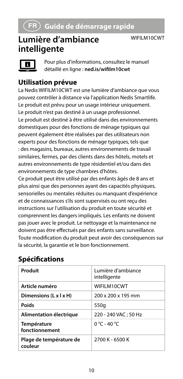#### **Lumière d'ambiance intelligente**

WIFILM10CWT



Pour plus d'informations, consultez le manuel détaillé en ligne : **ned.is/wifilm10cwt**

#### **Utilisation prévue**

La Nedis WIFILM10CWT est une lumière d'ambiance que vous pouvez contrôler à distance via l'application Nedis Smartlife. Le produit est prévu pour un usage intérieur uniquement. Le produit n'est pas destiné à un usage professionnel. Le produit est destiné à être utilisé dans des environnements domestiques pour des fonctions de ménage typiques qui peuvent également être réalisées par des utilisateurs non experts pour des fonctions de ménage typiques, tels que : des magasins, bureaux, autres environnements de travail similaires, fermes, par des clients dans des hôtels, motels et autres environnements de type résidentiel et/ou dans des environnements de type chambres d'hôtes.

Ce produit peut être utilisé par des enfants âgés de 8 ans et plus ainsi que des personnes ayant des capacités physiques, sensorielles ou mentales réduites ou manquant d'expérience et de connaissances s'ils sont supervisés ou ont reçu des instructions sur l'utilisation du produit en toute sécurité et comprennent les dangers impliqués. Les enfants ne doivent pas jouer avec le produit. Le nettoyage et la maintenance ne doivent pas être effectués par des enfants sans surveillance. Toute modification du produit peut avoir des conséquences sur la sécurité, la garantie et le bon fonctionnement.

| Produit                            | Lumière d'ambiance<br>intelligente |
|------------------------------------|------------------------------------|
| Article numéro                     | WIFILM10CWT                        |
| Dimensions (L x I x H)             | 200 x 200 x 195 mm                 |
| Poids                              | 550g                               |
| Alimentation électrique            | 220 - 240 VAC; 50 Hz               |
| Température<br>fonctionnement      | 0 °C - 40 °C                       |
| Plage de température de<br>couleur | 2700 K - 6500 K                    |

#### **Spécifications**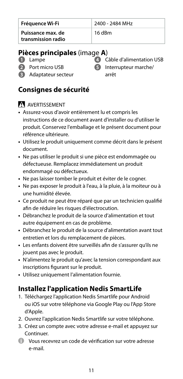| Fréquence Wi-Fi                         | 2400 - 2484 MHz |
|-----------------------------------------|-----------------|
| Puissance max. de<br>transmission radio | 16 dBm          |

#### **Pièces principales** (image **A**)

- **1** Lampe
	-
- 
- **2** Port micro USB
- 

arrêt

- **6** Interrupteur marche/
- **3** Adaptateur secteur

#### **Consignes de sécurité**

#### AVERTISSEMENT

- **•** Assurez-vous d'avoir entièrement lu et compris les instructions de ce document avant d'installer ou d'utiliser le produit. Conservez l'emballage et le présent document pour référence ultérieure.
- **•** Utilisez le produit uniquement comme décrit dans le présent document.
- **•** Ne pas utiliser le produit si une pièce est endommagée ou défectueuse. Remplacez immédiatement un produit endommagé ou défectueux.
- **•** Ne pas laisser tomber le produit et éviter de le cogner.
- **•** Ne pas exposer le produit à l'eau, à la pluie, à la moiteur ou à une humidité élevée.
- **•** Ce produit ne peut être réparé que par un technicien qualifié afin de réduire les risques d'électrocution.
- **•** Débranchez le produit de la source d'alimentation et tout autre équipement en cas de problème.
- **•** Débranchez le produit de la source d'alimentation avant tout entretien et lors du remplacement de pièces.
- **•** Les enfants doivent être surveillés afin de s'assurer qu'ils ne jouent pas avec le produit.
- **•** N'alimentez le produit qu'avec la tension correspondant aux inscriptions figurant sur le produit.
- **•** Utilisez uniquement l'alimentation fournie.

#### **Installez l'application Nedis SmartLife**

- 1. Téléchargez l'application Nedis Smartlife pour Android ou iOS sur votre téléphone via Google Play ou l'App Store d'Apple.
- 2. Ouvrez l'application Nedis Smartlife sur votre téléphone.
- 3. Créez un compte avec votre adresse e-mail et appuyez sur **Continuer**
- 4 Vous recevrez un code de vérification sur votre adresse e-mail.

**4** Câble d'alimentation USB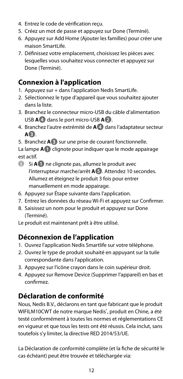- 4. Entrez le code de vérification reçu.
- 5. Créez un mot de passe et appuyez sur Done (Terminé).
- 6. Appuyez sur Add Home (Ajouter les familles) pour créer une maison SmartLife.
- 7. Définissez votre emplacement, choisissez les pièces avec lesquelles vous souhaitez vous connecter et appuyez sur Done (Terminé).

#### **Connexion à l'application**

- 1. Appuyez sur + dans l'application Nedis SmartLife.
- 2. Sélectionnez le type d'appareil que vous souhaitez ajouter dans la liste.
- 3. Branchez le connecteur micro-USB du câble d'alimentation USB **A4** dans le port micro-USB **A2**.
- 4. Branchez l'autre extrémité de **A4** dans l'adaptateur secteur **A3**.
- 5. Branchez **A3** sur une prise de courant fonctionnelle.

La lampe **A1** clignote pour indiquer que le mode appairage est actif.

- 4 Si **A1** ne clignote pas, allumez le produit avec l'interrupteur marche/arrêt **A5**. Attendez 10 secondes. Allumez et éteignez le produit 3 fois pour entrer manuellement en mode appairage.
- 6. Appuyez sur Étape suivante dans l'application.
- 7. Entrez les données du réseau Wi-Fi et appuyez sur Confirmer.
- 8. Saisissez un nom pour le produit et appuyez sur Done (Terminé).
- Le produit est maintenant prêt à être utilisé.

#### **Déconnexion de l'application**

- 1. Ouvrez l'application Nedis Smartlife sur votre téléphone.
- 2. Ouvrez le type de produit souhaité en appuyant sur la tuile correspondante dans l'application.
- 3. Appuyez sur l'icône crayon dans le coin supérieur droit.
- 4. Appuyez sur Remove Device (Supprimer l'appareil) en bas et confirmez.

#### **Déclaration de conformité**

Nous, Nedis B.V., déclarons en tant que fabricant que le produit WIFILM10CWT de notre marque Nedis<sup>\*</sup>, produit en Chine, a été testé conformément à toutes les normes et réglementations CE en vigueur et que tous les tests ont été réussis. Cela inclut, sans toutefois s'y limiter, la directive RED 2014/53/UE.

La Déclaration de conformité complète (et la fiche de sécurité le cas échéant) peut être trouvée et téléchargée via: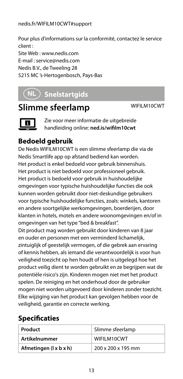#### nedis.fr/WIFILM10CWT#support

Pour plus d'informations sur la conformité, contactez le service client : Site Web : www.nedis.com E-mail : service@nedis.com Nedis B.V., de Tweeling 28 5215 MC 's-Hertogenbosch, Pays-Bas

### d **Snelstartgids**

#### **Slimme sfeerlamp** WIFILM10CWT



Zie voor meer informatie de uitgebreide handleiding online: **ned.is/wifilm10cwt**

#### **Bedoeld gebruik**

De Nedis WIFILM10CWT is een slimme sfeerlamp die via de Nedis Smartlife app op afstand bediend kan worden. Het product is enkel bedoeld voor gebruik binnenshuis. Het product is niet bedoeld voor professioneel gebruik. Het product is bedoeld voor gebruik in huishoudelijke omgevingen voor typische huishoudelijke functies die ook kunnen worden gebruikt door niet-deskundige gebruikers voor typische huishoudelijke functies, zoals: winkels, kantoren en andere soortgelijke werkomgevingen, boerderijen, door klanten in hotels, motels en andere woonomgevingen en/of in omgevingen van het type "bed & breakfast".

Dit product mag worden gebruikt door kinderen van 8 jaar en ouder en personen met een verminderd lichamelijk, zintuiglijk of geestelijk vermogen, of die gebrek aan ervaring of kennis hebben, als iemand die verantwoordelijk is voor hun veiligheid toezicht op hen houdt of hen is uitgelegd hoe het product veilig dient te worden gebruikt en ze begrijpen wat de potentiële risico's zijn. Kinderen mogen niet met het product spelen. De reiniging en het onderhoud door de gebruiker mogen niet worden uitgevoerd door kinderen zonder toezicht. Elke wijziging van het product kan gevolgen hebben voor de veiligheid, garantie en correcte werking.

#### **Specificaties**

| Product                | Slimme sfeerlamp   |
|------------------------|--------------------|
| <b>Artikelnummer</b>   | WIFILM10CWT        |
| Afmetingen (  x b x h) | 200 x 200 x 195 mm |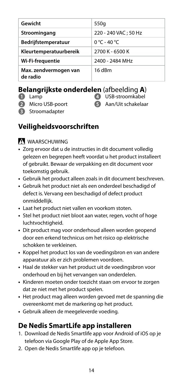| Gewicht                           | 550g                 |
|-----------------------------------|----------------------|
| Stroomingang                      | 220 - 240 VAC: 50 Hz |
| Bedrijfstemperatuur               | 0 °C - 40 °C         |
| Kleurtemperatuurbereik            | 2700 K - 6500 K      |
| Wi-Fi-frequentie                  | 2400 - 2484 MHz      |
| Max. zendvermogen van<br>de radio | 16 dBm               |

#### **Belangrijkste onderdelen** (afbeelding **A**)

- **1** Lamp
- **2** Micro USB-poort
- **3** Stroomadapter
- **4** USB-stroomkabel **5** Aan/Uit schakelaar

#### **Veiligheidsvoorschriften**

WAARSCHUWING

- **•** Zorg ervoor dat u de instructies in dit document volledig gelezen en begrepen heeft voordat u het product installeert of gebruikt. Bewaar de verpakking en dit document voor toekomstig gebruik.
- **•** Gebruik het product alleen zoals in dit document beschreven.
- **•** Gebruik het product niet als een onderdeel beschadigd of defect is. Vervang een beschadigd of defect product onmiddellijk.
- **•** Laat het product niet vallen en voorkom stoten.
- **•** Stel het product niet bloot aan water, regen, vocht of hoge luchtvochtigheid.
- **•** Dit product mag voor onderhoud alleen worden geopend door een erkend technicus om het risico op elektrische schokken te verkleinen.
- **•** Koppel het product los van de voedingsbron en van andere apparatuur als er zich problemen voordoen.
- **•** Haal de stekker van het product uit de voedingsbron voor onderhoud en bij het vervangen van onderdelen.
- **•** Kinderen moeten onder toezicht staan om ervoor te zorgen dat ze niet met het product spelen.
- **•** Het product mag alleen worden gevoed met de spanning die overeenkomt met de markering op het product.
- **•** Gebruik alleen de meegeleverde voeding.

#### **De Nedis SmartLife app installeren**

- 1. Download de Nedis Smartlife app voor Android of iOS op je telefoon via Google Play of de Apple App Store.
- 2. Open de Nedis Smartlife app op je telefoon.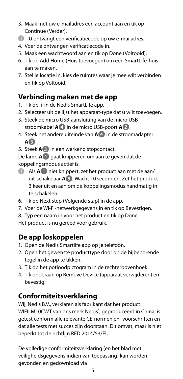- 3. Maak met uw e-mailadres een account aan en tik op Continue (Verder).
- 4 U ontvangt een verificatiecode op uw e-mailadres.
- 4. Voer de ontvangen verificatiecode in.
- 5. Maak een wachtwoord aan en tik op Done (Voltooid).
- 6. Tik op Add Home (Huis toevoegen) om een SmartLife-huis aan te maken.
- 7. Stel je locatie in, kies de ruimtes waar je mee wilt verbinden en tik op Voltooid.

#### **Verbinding maken met de app**

- 1. Tik op + in de Nedis SmartLife app.
- 2. Selecteer uit de lijst het apparaat-type dat u wilt toevoegen.
- 3. Steek de micro USB-aansluiting van de micro USBstroomkabel **A4** in de micro USB-poort **A2**.
- 4. Steek het andere uiteinde van **A4** in de stroomadapter **A3**.
- 5. Steek **A3** in een werkend stopcontact.

De lamp **A1** gaat knipperen om aan te geven dat de koppelingsmodus actief is.

- 4 Als **A1** niet knippert, zet het product aan met de aan/ uit-schakelaar **A5**. Wacht 10 seconden. Zet het product 3 keer uit en aan om de koppelingsmodus handmatig in te schakelen.
- 6. Tik op Next step (Volgende stap) in de app.
- 7. Voer de Wi-Fi-netwerkgegevens in en tik op Bevestigen.
- 8. Typ een naam in voor het product en tik op Done.

Het product is nu gereed voor gebruik.

#### **De app loskoppelen**

- 1. Open de Nedis Smartlife app op je telefoon.
- 2. Open het gewenste producttype door op de bijbehorende tegel in de app te tikken.
- 3. Tik op het potloodpictogram in de rechterbovenhoek.
- 4. Tik onderaan op Remove Device (apparaat verwijderen) en bevestig.

#### **Conformiteitsverklaring**

Wij, Nedis B.V., verklaren als fabrikant dat het product WIFILM10CWT van ons merk Nedis<sup>\*</sup>, geproduceerd in China, is getest conform alle relevante CE-normen en -voorschriften en dat alle tests met succes zijn doorstaan. Dit omvat, maar is niet beperkt tot de richtlijn RED 2014/53/EU.

De volledige conformiteitsverklaring (en het blad met veiligheidsgegevens indien van toepassing) kan worden gevonden en gedownload via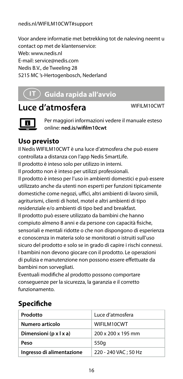Voor andere informatie met betrekking tot de naleving neemt u contact op met de klantenservice:

Web: www.nedis.nl

E-mail: service@nedis.com

Nedis B.V., de Tweeling 28

5215 MC 's-Hertogenbosch, Nederland

### j **Guida rapida all'avvio**

### **Luce d'atmosfera** WIFILM10CWT



Per maggiori informazioni vedere il manuale esteso online: **ned.is/wifilm10cwt**

#### **Uso previsto**

Il Nedis WIFILM10CWT è una luce d'atmosfera che può essere controllata a distanza con l'app Nedis SmartLife. Il prodotto è inteso solo per utilizzo in interni.

Il prodotto non è inteso per utilizzi professionali.

Il prodotto è inteso per l'uso in ambienti domestici e può essere utilizzato anche da utenti non esperti per funzioni tipicamente domestiche come negozi, uffici, altri ambienti di lavoro simili, agriturismi, clienti di hotel, motel e altri ambienti di tipo residenziale e/o ambienti di tipo bed and breakfast. Il prodotto può essere utilizzato da bambini che hanno compiuto almeno 8 anni e da persone con capacità fisiche, sensoriali e mentali ridotte o che non dispongono di esperienza e conoscenza in materia solo se monitorati o istruiti sull'uso sicuro del prodotto e solo se in grado di capire i rischi connessi. I bambini non devono giocare con il prodotto. Le operazioni di pulizia e manutenzione non possono essere effettuate da bambini non sorvegliati.

Eventuali modifiche al prodotto possono comportare conseguenze per la sicurezza, la garanzia e il corretto funzionamento.

#### **Specifiche**

| Prodotto                  | Luce d'atmosfera     |
|---------------------------|----------------------|
| Numero articolo           | WIFILM10CWT          |
| Dimensioni (p x l x a)    | 200 x 200 x 195 mm   |
| Peso                      | 550g                 |
| Ingresso di alimentazione | 220 - 240 VAC: 50 Hz |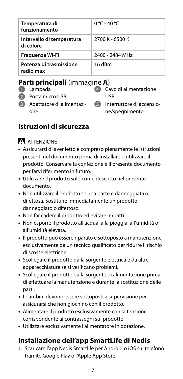| Temperatura di<br>funzionamento        | 0 °C - 40 °C      |
|----------------------------------------|-------------------|
| Intervallo di temperatura<br>di colore | 2700 K - 6500 K   |
| Frequenza Wi-Fi                        | 2400 - 2484 MHz   |
| Potenza di trasmissione<br>radio max   | 16 <sub>dRm</sub> |

#### **Parti principali** (immagine **A**)

- **1** Lampada
- **2** Porta micro USB
- **3** Adattatore di alimentazione

**4** Cavo di alimentazione USB

**6** Interruttore di accensione/spegnimento

#### **Istruzioni di sicurezza**

#### **ATTENZIONE**

- **•** Assicurarsi di aver letto e compreso pienamente le istruzioni presenti nel documento prima di installare o utilizzare il prodotto. Conservare la confezione e il presente documento per farvi riferimento in futuro.
- **•** Utilizzare il prodotto solo come descritto nel presente documento.
- **•** Non utilizzare il prodotto se una parte è danneggiata o difettosa. Sostituire immediatamente un prodotto danneggiato o difettoso.
- **•** Non far cadere il prodotto ed evitare impatti.
- **•** Non esporre il prodotto all'acqua, alla pioggia, all'umidità o all'umidità elevata.
- **•** Il prodotto può essere riparato e sottoposto a manutenzione esclusivamente da un tecnico qualificato per ridurre il rischio di scosse elettriche.
- **•** Scollegare il prodotto dalla sorgente elettrica e da altre apparecchiature se si verificano problemi.
- **•** Scollegare il prodotto dalla sorgente di alimentazione prima di effettuare la manutenzione e durante la sostituzione delle parti.
- **•** I bambini devono essere sottoposti a supervisione per assicurarsi che non giochino con il prodotto.
- **•** Alimentare il prodotto esclusivamente con la tensione corrispondente ai contrassegni sul prodotto.
- **•** Utilizzare esclusivamente l'alimentatore in dotazione.

#### **Installazione dell'app SmartLife di Nedis**

1. Scaricare l'app Nedis Smartlife per Android o iOS sul telefono tramite Google Play o l'Apple App Store.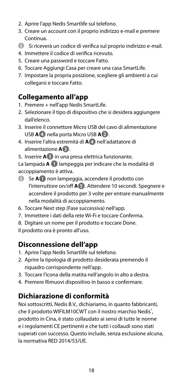- 2. Aprire l'app Nedis Smartlife sul telefono.
- 3. Creare un account con il proprio indirizzo e-mail e premere Continua.
- 4 Si riceverà un codice di verifica sul proprio indirizzo e-mail.
- 4. Immettere il codice di verifica ricevuto.
- 5. Creare una password e toccare Fatto.
- 6. Toccare Aggiungi Casa per creare una casa SmartLife.
- 7. Impostare la propria posizione, scegliere gli ambienti a cui collegarsi e toccare Fatto.

#### **Collegamento all'app**

- 1. Premere + nell'app Nedis SmartLife.
- 2. Selezionare il tipo di dispositivo che si desidera aggiungere dall'elenco.
- 3. Inserire il connettore Micro USB del cavo di alimentazione USB **A4** nella porta Micro USB **A2**.
- 4. Inserire l'altra estremità di **A4** nell'adattatore di alimentazione **A3**.
- 5. Inserire **A3** in una presa elettrica funzionante.

La lampada **A 1** lampeggia per indicare che la modalità di accoppiamento è attiva.

- 4 Se **A1** non lampeggia, accendere il prodotto con l'interruttore on/off **A5**. Attendere 10 secondi. Spegnere e accendere il prodotto per 3 volte per entrare manualmente nella modalità di accoppiamento.
- 6. Toccare Next step (Fase successiva) nell'app.
- 7. Immettere i dati della rete Wi-Fi e toccare Conferma.
- 8. Digitare un nome per il prodotto e toccare Done.

Il prodotto ora è pronto all'uso.

#### **Disconnessione dell'app**

- 1. Aprire l'app Nedis Smartlife sul telefono.
- 2. Aprire la tipologia di prodotto desiderata premendo il riquadro corrispondente nell'app.
- 3. Toccare l'icona della matita nell'angolo in alto a destra.
- 4. Premere Rimuovi dispositivo in basso e confermare.

#### **Dichiarazione di conformità**

Noi sottoscritti, Nedis B.V., dichiariamo, in quanto fabbricanti, che il prodotto WIFILM10CWT con il nostro marchio Nedis<sup>\*</sup>, prodotto in Cina, è stato collaudato ai sensi di tutte le norme e i regolamenti CE pertinenti e che tutti i collaudi sono stati superati con successo. Questo include, senza esclusione alcuna, la normativa RED 2014/53/UE.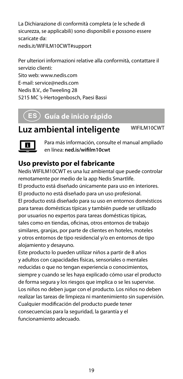La Dichiarazione di conformità completa (e le schede di sicurezza, se applicabili) sono disponibili e possono essere scaricate da: nedis.it/WIFILM10CWT#support

Per ulteriori informazioni relative alla conformità, contattare il servizio clienti: Sito web: www.nedis.com E-mail: service@nedis.com Nedis B.V., de Tweeling 28 5215 MC 's-Hertogenbosch, Paesi Bassi

### h **Guía de inicio rápido**

### **Luz ambiental inteligente** WIFILM10CWT



Para más información, consulte el manual ampliado en línea: **ned.is/wifilm10cwt**

#### **Uso previsto por el fabricante**

Nedis WIFILM10CWT es una luz ambiental que puede controlar remotamente por medio de la app Nedis Smartlife. El producto está diseñado únicamente para uso en interiores. El producto no está diseñado para un uso profesional. El producto está diseñado para su uso en entornos domésticos para tareas domésticas típicas y también puede ser utilizado por usuarios no expertos para tareas domésticas típicas, tales como en tiendas, oficinas, otros entornos de trabajo similares, granjas, por parte de clientes en hoteles, moteles y otros entornos de tipo residencial y/o en entornos de tipo alojamiento y desayuno.

Este producto lo pueden utilizar niños a partir de 8 años y adultos con capacidades físicas, sensoriales o mentales reducidas o que no tengan experiencia o conocimientos, siempre y cuando se les haya explicado cómo usar el producto de forma segura y los riesgos que implica o se les supervise. Los niños no deben jugar con el producto. Los niños no deben realizar las tareas de limpieza ni mantenimiento sin supervisión. Cualquier modificación del producto puede tener consecuencias para la seguridad, la garantía y el funcionamiento adecuado.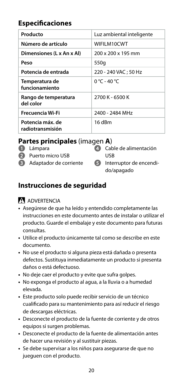#### **Especificaciones**

| Producto                             |                           |
|--------------------------------------|---------------------------|
|                                      | Luz ambiental inteligente |
| Número de artículo                   | WIFILM10CWT               |
| Dimensiones (L x An x Al)            | 200 x 200 x 195 mm        |
| Peso                                 | 550g                      |
| Potencia de entrada                  | 220 - 240 VAC: 50 Hz      |
| Temperatura de<br>funcionamiento     | 0 °C - 40 °C              |
| Rango de temperatura<br>del color    | 2700 K - 6500 K           |
| Frecuencia Wi-Fi                     | 2400 - 2484 MHz           |
| Potencia máx, de<br>radiotransmisión | 16 dBm                    |

#### **Partes principales** (imagen **A**)

- **1** Lámpara
- **2** Puerto micro USB
- **3** Adaptador de corriente

| 4 Cable de alimentación   |
|---------------------------|
| USB                       |
| 5 Interruptor de encendi- |

do/apagado

#### **Instrucciones de seguridad**

#### ADVERTENCIA

- **•** Asegúrese de que ha leído y entendido completamente las instrucciones en este documento antes de instalar o utilizar el producto. Guarde el embalaje y este documento para futuras consultas.
- **•** Utilice el producto únicamente tal como se describe en este documento.
- **•** No use el producto si alguna pieza está dañada o presenta defectos. Sustituya inmediatamente un producto si presenta daños o está defectuoso.
- **•** No deje caer el producto y evite que sufra golpes.
- **•** No exponga el producto al agua, a la lluvia o a humedad elevada.
- **•** Este producto solo puede recibir servicio de un técnico cualificado para su mantenimiento para así reducir el riesgo de descargas eléctricas.
- **•** Desconecte el producto de la fuente de corriente y de otros equipos si surgen problemas.
- **•** Desconecte el producto de la fuente de alimentación antes de hacer una revisión y al sustituir piezas.
- **•** Se debe supervisar a los niños para asegurarse de que no jueguen con el producto.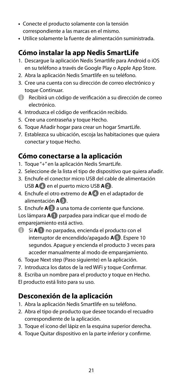- **•** Conecte el producto solamente con la tensión correspondiente a las marcas en el mismo.
- **•** Utilice solamente la fuente de alimentación suministrada.

#### **Cómo instalar la app Nedis SmartLife**

- 1. Descargue la aplicación Nedis Smartlife para Android o iOS en su teléfono a través de Google Play o Apple App Store.
- 2. Abra la aplicación Nedis Smartlife en su teléfono.
- 3. Cree una cuenta con su dirección de correo electrónico y toque Continuar.
- 4 Recibirá un código de verificación a su dirección de correo electrónico.
- 4. Introduzca el código de verificación recibido.
- 5. Cree una contraseña y toque Hecho.
- 6. Toque Añadir hogar para crear un hogar SmartLife.
- 7. Establezca su ubicación, escoja las habitaciones que quiera conectar y toque Hecho.

#### **Cómo conectarse a la aplicación**

- 1. Toque "+" en la aplicación Nedis SmartLife.
- 2. Seleccione de la lista el tipo de dispositivo que quiera añadir.
- 3. Enchufe el conector micro USB del cable de alimentación USB **A4** en el puerto micro USB **A2**.
- 4. Enchufe el otro extremo de **A4** en el adaptador de alimentación **A3**.
- 5. Enchufe **A3** a una toma de corriente que funcione.

Los lámpara **A1** parpadea para indicar que el modo de emparejamiento está activo.

- 4 Si **A1** no parpadea, encienda el producto con el interruptor de encendido/apagado **A5**. Espere 10 segundos. Apague y encienda el producto 3 veces para acceder manualmente al modo de emparejamiento.
- 6. Toque Next step (Paso siguiente) en la aplicación.
- 7. Introduzca los datos de la red WiFi y toque Confirmar.

8. Escriba un nombre para el producto y toque en Hecho.

El producto está listo para su uso.

#### **Desconexión de la aplicación**

- 1. Abra la aplicación Nedis Smartlife en su teléfono.
- 2. Abra el tipo de producto que desee tocando el recuadro correspondiente de la aplicación.
- 3. Toque el icono del lápiz en la esquina superior derecha.
- 4. Toque Quitar dispositivo en la parte inferior y confirme.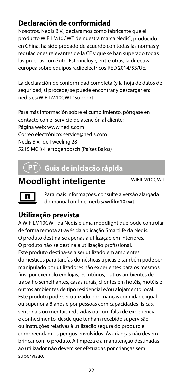#### **Declaración de conformidad**

Nosotros, Nedis B.V., declaramos como fabricante que el producto WIFILM10CWT de nuestra marca Nedis', producido en China, ha sido probado de acuerdo con todas las normas y regulaciones relevantes de la CE y que se han superado todas las pruebas con éxito. Esto incluye, entre otras, la directiva europea sobre equipos radioeléctricos RED 2014/53/UE.

La declaración de conformidad completa (y la hoja de datos de seguridad, si procede) se puede encontrar y descargar en: nedis.es/WIFILM10CWT#support

Para más información sobre el cumplimiento, póngase en contacto con el servicio de atención al cliente: Página web: www.nedis.com Correo electrónico: service@nedis.com Nedis B.V., de Tweeling 28 5215 MC 's-Hertogenbosch (Países Bajos)

### i **Guia de iniciação rápida**

### **Moodlight inteligente** WIFILM10CWT

Para mais informações, consulte a versão alargada do manual on-line: **ned.is/wifilm10cwt**

#### **Utilização prevista**

A WIFILM10CWT da Nedis é uma moodlight que pode controlar de forma remota através da aplicação Smartlife da Nedis. O produto destina-se apenas a utilização em interiores. O produto não se destina a utilização profissional. Este produto destina-se a ser utilizado em ambientes domésticos para tarefas domésticas típicas e também pode ser manipulado por utilizadores não experientes para os mesmos fins, por exemplo em lojas, escritórios, outros ambientes de trabalho semelhantes, casas rurais, clientes em hotéis, motéis e outros ambientes de tipo residencial e/ou alojamento local. Este produto pode ser utilizado por crianças com idade igual ou superior a 8 anos e por pessoas com capacidades físicas, sensoriais ou mentais reduzidas ou com falta de experiência e conhecimento, desde que tenham recebido supervisão ou instruções relativas à utilização segura do produto e compreendam os perigos envolvidos. As crianças não devem brincar com o produto. A limpeza e a manutenção destinadas ao utilizador não devem ser efetuadas por crianças sem supervisão.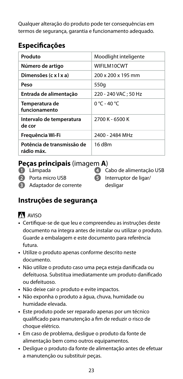Qualquer alteração do produto pode ter consequências em termos de segurança, garantia e funcionamento adequado.

#### **Especificações**

| Produto                                  | Moodlight inteligente |
|------------------------------------------|-----------------------|
| Número de artigo                         | WIFILM10CWT           |
| Dimensões (c x l x a)                    | 200 x 200 x 195 mm    |
| Peso                                     | 550g                  |
| Entrada de alimentação                   | 220 - 240 VAC: 50 Hz  |
| Temperatura de<br>funcionamento          | 0 °C - 40 °C          |
| Intervalo de temperatura<br>de cor       | 2700 K - 6500 K       |
| Frequência Wi-Fi                         | 2400 - 2484 MHz       |
| Potência de transmissão de<br>rádio máx. | 16 dBm                |

#### **Peças principais** (imagem **A**)

- **1** Lâmpada
- **2** Porta micro USB
- 
- 
- 
- 
- **3** Adaptador de corrente
- **4** Cabo de alimentação USB **5** Interruptor de ligar/ desligar

### **Instruções de segurança**

### AVISO

- **•** Certifique-se de que leu e compreendeu as instruções deste documento na íntegra antes de instalar ou utilizar o produto. Guarde a embalagem e este documento para referência futura.
- **•** Utilize o produto apenas conforme descrito neste documento.
- **•** Não utilize o produto caso uma peça esteja danificada ou defeituosa. Substitua imediatamente um produto danificado ou defeituoso.
- **•** Não deixe cair o produto e evite impactos.
- **•** Não exponha o produto a água, chuva, humidade ou humidade elevada.
- **•** Este produto pode ser reparado apenas por um técnico qualificado para manutenção a fim de reduzir o risco de choque elétrico.
- **•** Em caso de problema, desligue o produto da fonte de alimentação bem como outros equipamentos.
- **•** Desligue o produto da fonte de alimentação antes de efetuar a manutenção ou substituir peças.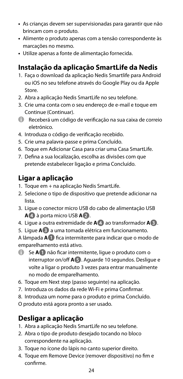- **•** As crianças devem ser supervisionadas para garantir que não brincam com o produto.
- **•** Alimente o produto apenas com a tensão correspondente às marcações no mesmo.
- **•** Utilize apenas a fonte de alimentação fornecida.

#### **Instalação da aplicação SmartLife da Nedis**

- 1. Faça o download da aplicação Nedis Smartlife para Android ou iOS no seu telefone através do Google Play ou da Apple Store.
- 2. Abra a aplicação Nedis SmartLife no seu telefone.
- 3. Crie uma conta com o seu endereço de e-mail e toque em Continue (Continuar).
- 4 Receberá um código de verificação na sua caixa de correio eletrónico.
- 4. Introduza o código de verificação recebido.
- 5. Crie uma palavra-passe e prima Concluído.
- 6. Toque em Adicionar Casa para criar uma Casa SmartLife.
- 7. Defina a sua localização, escolha as divisões com que pretende estabelecer ligação e prima Concluído.

#### **Ligar a aplicação**

- 1. Toque em + na aplicação Nedis SmartLife.
- 2. Selecione o tipo de dispositivo que pretende adicionar na lista.
- 3. Ligue o conector micro USB do cabo de alimentação USB **A4** à porta micro USB **A2**.
- 4. Ligue a outra extremidade de **A4** ao transformador **A3**.
- 5. Ligue **A3** a uma tomada elétrica em funcionamento.

A lâmpada **A1** fica intermitente para indicar que o modo de emparelhamento está ativo.

- 4 Se **A1** não ficar intermitente, ligue o produto com o interruptor on/off **A5**. Aguarde 10 segundos. Desligue e volte a ligar o produto 3 vezes para entrar manualmente no modo de emparelhamento.
- 6. Toque em Next step (passo seguinte) na aplicação.
- 7. Introduza os dados da rede Wi-Fi e prima Confirmar.
- 8. Introduza um nome para o produto e prima Concluído.
- O produto está agora pronto a ser usado.

#### **Desligar a aplicação**

- 1. Abra a aplicação Nedis SmartLife no seu telefone.
- 2. Abra o tipo de produto desejado tocando no bloco correspondente na aplicação.
- 3. Toque no ícone do lápis no canto superior direito.
- 4. Toque em Remove Device (remover dispositivo) no fim e confirme.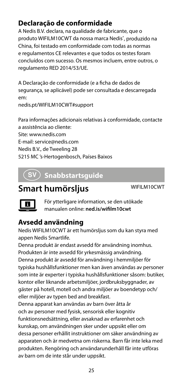#### **Declaração de conformidade**

A Nedis B.V. declara, na qualidade de fabricante, que o produto WIFILM10CWT da nossa marca Nedis', produzido na China, foi testado em conformidade com todas as normas e regulamentos CE relevantes e que todos os testes foram concluídos com sucesso. Os mesmos incluem, entre outros, o regulamento RED 2014/53/UE.

A Declaração de conformidade (e a ficha de dados de segurança, se aplicável) pode ser consultada e descarregada em:

nedis.pt/WIFILM10CWT#support

Para informações adicionais relativas à conformidade, contacte a assistência ao cliente: Site: www.nedis.com E-mail: service@nedis.com Nedis B.V., de Tweeling 28 5215 MC 's-Hertogenbosch, Países Baixos

### e **Snabbstartsguide**

### **Smart humörsljus** WIFILM10CWT



För ytterligare information, se den utökade manualen online: **ned.is/wifilm10cwt**

#### **Avsedd användning**

Nedis WIFILM10CWT är ett humörsljus som du kan styra med appen Nedis Smartlife.

Denna produkt är endast avsedd för användning inomhus. Produkten är inte avsedd för yrkesmässig användning. Denna produkt är avsedd för användning i hemmiljöer för typiska hushållsfunktioner men kan även användas av personer som inte är experter i typiska hushållsfunktioner såsom: butiker, kontor eller liknande arbetsmiljöer, jordbruksbyggnader, av gäster på hotell, motell och andra miljöer av boendetyp och/ eller miljöer av typen bed and breakfast.

Denna apparat kan användas av barn över åtta år och av personer med fysisk, sensorisk eller kognitiv funktionsnedsättning, eller avsaknad av erfarenhet och kunskap, om användningen sker under uppsikt eller om dessa personer erhållit instruktioner om säker användning av apparaten och är medvetna om riskerna. Barn får inte leka med produkten. Rengöring och användarunderhåll får inte utföras av barn om de inte står under uppsikt.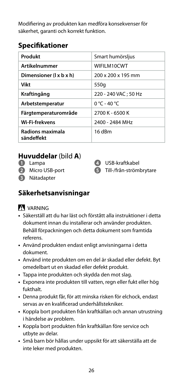Modifiering av produkten kan medföra konsekvenser för säkerhet, garanti och korrekt funktion.

#### **Specifikationer**

| Produkt                        | Smart humörsljus     |
|--------------------------------|----------------------|
| <b>Artikelnummer</b>           | WIFILM10CWT          |
| Dimensioner (1 x b x h)        | 200 x 200 x 195 mm   |
| Vikt                           | 550g                 |
| Kraftingång                    | 220 - 240 VAC: 50 Hz |
| Arbetstemperatur               | $0 °C - 40 °C$       |
| Färgtemperaturområde           | 2700 K - 6500 K      |
| <b>Wi-Fi-frekvens</b>          | 2400 - 2484 MHz      |
| Radions maximala<br>sändeffekt | 16 dBm               |

**4** USB-kraftkabel **5** Till-/från-strömbrytare

#### **Huvuddelar** (bild **A**)

- **1** Lampa
- **2** Micro USB-port
- **3** Nätadapter

### **Säkerhetsanvisningar**

#### **N** VARNING

- **•** Säkerställ att du har läst och förstått alla instruktioner i detta dokument innan du installerar och använder produkten. Behåll förpackningen och detta dokument som framtida referens.
- **•** Använd produkten endast enligt anvisningarna i detta dokument.
- **•** Använd inte produkten om en del är skadad eller defekt. Byt omedelbart ut en skadad eller defekt produkt.
- **•** Tappa inte produkten och skydda den mot slag.
- **•** Exponera inte produkten till vatten, regn eller fukt eller hög fukthalt.
- **•** Denna produkt får, för att minska risken för elchock, endast servas av en kvalificerad underhållstekniker.
- **•** Koppla bort produkten från kraftkällan och annan utrustning i händelse av problem.
- **•** Koppla bort produkten från kraftkällan före service och utbyte av delar.
- **•** Små barn bör hållas under uppsikt för att säkerställa att de inte leker med produkten.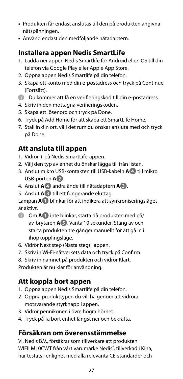- **•** Produkten får endast anslutas till den på produkten angivna nätspänningen.
- **•** Använd endast den medföljande nätadaptern.

#### **Installera appen Nedis SmartLife**

- 1. Ladda ner appen Nedis Smartlife för Android eller iOS till din telefon via Google Play eller Apple App Store.
- 2. Öppna appen Nedis Smartlife på din telefon.
- 3. Skapa ett konto med din e-postadress och tryck på Continue (Fortsätt).
- 4 Du kommer att få en verifieringskod till din e-postadress.
- 4. Skriv in den mottagna verifieringskoden.
- 5. Skapa ett lösenord och tryck på Done.
- 6. Tryck på Add Home för att skapa ett SmartLife Home.
- 7. Ställ in din ort, välj det rum du önskar ansluta med och tryck på Done.

#### **Att ansluta till appen**

- 1. Vidrör + på Nedis SmartLife-appen.
- 2. Välj den typ av enhet du önskar lägga till från listan.
- 3. Anslut mikro USB-kontakten till USB-kabeln **A4** till mikro USB-porten **A2**.
- 4. Anslut **A4** andra ände till nätadaptern **A3**.
- 5. Anslut **A3** till ett fungerande eluttag.

Lampan **A1** blinkar för att indikera att synkroniseringsläget är aktivt.

- 4 Om **A1** inte blinkar, starta då produkten med på/ av-brytaren **A5**. Vänta 10 sekunder. Stäng av och starta produkten tre gånger manuellt för att gå in i ihopkopplingsläge.
- 6. Vidrör Next step (Nästa steg) i appen.
- 7. Skriv in Wi-Fi-nätverkets data och tryck på Confirm.
- 8. Skriv in namnet på produkten och vidrör Klart.

Produkten är nu klar för användning.

#### **Att koppla bort appen**

- 1. Öppna appen Nedis Smartlife på din telefon.
- 2. Öppna produkttypen du vill ha genom att vidröra motsvarande styrknapp i appen.
- 3. Vidrör pennikonen i övre högra hörnet.
- 4. Tryck på Ta bort enhet längst ner och bekräfta.

#### **Försäkran om överensstämmelse**

Vi, Nedis B.V., försäkrar som tillverkare att produkten WIFILM10CWT från vårt varumärke Nedis<sup>\*</sup>, tillverkad i Kina, har testats i enlighet med alla relevanta CE-standarder och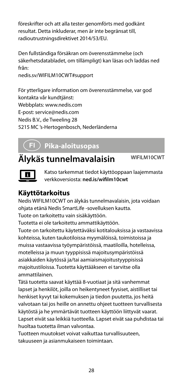föreskrifter och att alla tester genomförts med godkänt resultat. Detta inkluderar, men är inte begränsat till, radioutrustningsdirektivet 2014/53/EU.

Den fullständiga försäkran om överensstämmelse (och säkerhetsdatabladet, om tillämpligt) kan läsas och laddas ned från: nedis.sv/WIFILM10CWT#support

För ytterligare information om överensstämmelse, var god kontakta vår kundtjänst: Webbplats: www.nedis.com E-post: service@nedis.com Nedis B.V., de Tweeling 28 5215 MC 's-Hertogenbosch, Nederländerna

### g **Pika-aloitusopas**

### **Älykäs tunnelmavalaisin** WIFILM10CWT



Katso tarkemmat tiedot käyttöoppaan laajemmasta verkkoversiosta: **ned.is/wifilm10cwt**

#### **Käyttötarkoitus**

Nedis WIFILM10CWT on älykäs tunnelmavalaisin, jota voidaan ohjata etänä Nedis SmartLife -sovelluksen kautta.

Tuote on tarkoitettu vain sisäkäyttöön.

Tuotetta ei ole tarkoitettu ammattikäyttöön.

Tuote on tarkoitettu käytettäväksi kotitalouksissa ja vastaavissa kohteissa, kuten taukotiloissa myymälöissä, toimistoissa ja muissa vastaavissa työympäristöissä, maatiloilla, hotelleissa, motelleissa ja muun tyyppisissä majoitusympäristöissä asiakkaiden käytössä ja/tai aamiaismajoitustyyppisissä majoitustiloissa. Tuotetta käyttääkseen ei tarvitse olla ammattilainen.

Tätä tuotetta saavat käyttää 8-vuotiaat ja sitä vanhemmat lapset ja henkilöt, joilla on heikentyneet fyysiset, aistilliset tai henkiset kyvyt tai kokemuksen ja tiedon puutetta, jos heitä valvotaan tai jos heille on annettu ohjeet tuotteen turvallisesta käytöstä ja he ymmärtävät tuotteen käyttöön liittyvät vaarat. Lapset eivät saa leikkiä tuotteella. Lapset eivät saa puhdistaa tai huoltaa tuotetta ilman valvontaa.

Tuotteen muutokset voivat vaikuttaa turvallisuuteen, takuuseen ja asianmukaiseen toimintaan.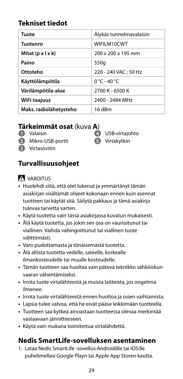#### **Tekniset tiedot**

| Tuote                         | Älykäs tunnelmavalaisin |
|-------------------------------|-------------------------|
| Tuotenro                      | WIFILM10CWT             |
| Mitat $(p \times l \times k)$ | 200 x 200 x 195 mm      |
| Paino                         | 550g                    |
| Ottoteho                      | 220 - 240 VAC; 50 Hz    |
| Käyttölämpötila               | 0 °C - 40 °C            |
| Värilämpötila-alue            | 2700 K - 6500 K         |
| WiFi-taajuus                  | 2400 - 2484 MHz         |
| Maks. radiolähetysteho        | 16 dBm                  |

#### **Tärkeimmät osat** (kuva **A**)

- **1** Valaisin
- **2** Mikro-USB-portti
- **3** Virtasovitin

**4** USB-virtajohto **5** Virtakytkin

#### **Turvallisuusohjeet**

#### **N** VAROITUS

- **•** Huolehdi siitä, että olet lukenut ja ymmärtänyt tämän asiakirjan sisältämät ohjeet kokonaan ennen kuin asennat tuotteen tai käytät sitä. Säilytä pakkaus ja tämä asiakirja tulevaa tarvetta varten.
- **•** Käytä tuotetta vain tässä asiakirjassa kuvatun mukaisesti.
- **•** Älä käytä tuotetta, jos jokin sen osa on vaurioitunut tai viallinen. Vaihda vahingoittunut tai viallinen tuote välittömästi.
- **•** Varo pudottamasta ja tönäisemästä tuotetta.
- **•** Älä altista tuotetta vedelle, sateelle, korkealle ilmankosteudelle tai muulle kosteudelle.
- **•** Tämän tuotteen saa huoltaa vain pätevä teknikko sähköiskun vaaran vähentämiseksi.
- **•** Irrota tuote virtalähteestä ja muista laitteista, jos ongelmia ilmenee.
- **•** Irrota tuote virtalähteestä ennen huoltoa ja osien vaihtamista.
- **•** Lapsia tulee valvoa, että he eivät pääse leikkimään tuotteella.
- **•** Tuotteen saa kytkeä ainoastaan tuotteessa olevaa merkintää vastaavaan jännitteeseen.
- **•** Käytä vain mukana toimitettua virtalähdettä.

#### **Nedis SmartLife-sovelluksen asentaminen**

1. Lataa Nedis SmartLife -sovellus Androidille tai iOS:lle puhelimellasi Google Playn tai Apple App Storen kautta.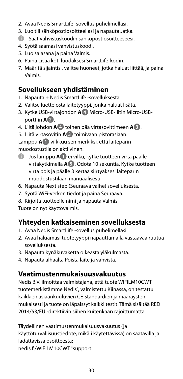- 2. Avaa Nedis SmartLife -sovellus puhelimellasi.
- 3. Luo tili sähköpostiosoitteellasi ja napauta Jatka.
- 4 Saat vahvistuskoodin sähköpostiosoitteeseesi.
- 4. Syötä saamasi vahvistuskoodi.
- 5. Luo salasana ja paina Valmis.
- 6. Paina Lisää koti luodaksesi SmartLife-kodin.
- 7. Määritä sijaintisi, valitse huoneet, jotka haluat liittää, ja paina Valmis.

#### **Sovellukseen yhdistäminen**

- 1. Napauta + Nedis SmartLife -sovelluksesta.
- 2. Valitse luettelosta laitetyyppi, jonka haluat lisätä.
- 3. Kytke USB-virtajohdon **A4** Micro-USB-liitin Micro-USBporttiin **A2**.
- 4. Liitä johdon **A4** toinen pää virtasovittimeen **A3**.
- 5. Liitä virtasovitin **A3** toimivaan pistorasiaan.

Lamppu **A1** vilkkuu sen merkiksi, että laiteparin muodostustila on aktiivinen.

- 4 Jos lamppu **A1** ei vilku, kytke tuotteen virta päälle virtakytkimellä **A5**. Odota 10 sekuntia. Kytke tuotteen virta pois ja päälle 3 kertaa siirtyäksesi laiteparin muodostustilaan manuaalisesti.
- 6. Napauta Next step (Seuraava vaihe) sovelluksesta.
- 7. Syötä WiFi-verkon tiedot ja paina Seuraava.
- 8. Kirjoita tuotteelle nimi ja napauta Valmis.

Tuote on nyt käyttövalmis.

#### **Yhteyden katkaiseminen sovelluksesta**

- 1. Avaa Nedis SmartLife -sovellus puhelimellasi.
- 2. Avaa haluamasi tuotetyyppi napauttamalla vastaavaa ruutua sovelluksesta.
- 3. Napauta kynäkuvaketta oikeasta yläkulmasta.
- 4. Napauta alhaalta Poista laite ja vahvista.

#### **Vaatimustenmukaisuusvakuutus**

Nedis B.V. ilmoittaa valmistajana, että tuote WIFILM10CWT tuotemerkistämme Nedis<sup>\*</sup>, valmistettu Kiinassa, on testattu kaikkien asiaankuuluvien CE-standardien ja määräysten mukaisesti ja tuote on läpäissyt kaikki testit. Tämä sisältää RED 2014/53/EU -direktiivin siihen kuitenkaan rajoittumatta.

Täydellinen vaatimustenmukaisuusvakuutus (ja käyttöturvallisuustiedote, mikäli käytettävissä) on saatavilla ja ladattavissa osoitteesta: nedis.fi/WIFILM10CWT#support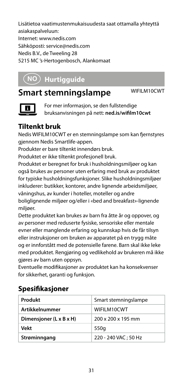Lisätietoa vaatimustenmukaisuudesta saat ottamalla yhteyttä asiakaspalveluun: Internet: www.nedis.com Sähköposti: service@nedis.com Nedis B.V., de Tweeling 28 5215 MC 's-Hertogenbosch, Alankomaat

### f **Hurtigguide**

### **Smart stemningslampe** WIFILM10CWT



For mer informasjon, se den fullstendige bruksanvisningen på nett: **ned.is/wifilm10cwt**

#### **Tiltenkt bruk**

Nedis WIFILM10CWT er en stemningslampe som kan fjernstyres gjennom Nedis Smartlife-appen.

Produkter er bare tiltenkt innendørs bruk.

Produktet er ikke tiltenkt profesjonell bruk.

Produktet er beregnet for bruk i husholdningsmiljøer og kan også brukes av personer uten erfaring med bruk av produktet for typiske husholdningsfunksjoner. Slike husholdningsmiljøer inkluderer: butikker, kontorer, andre lignende arbeidsmiljøer, våningshus, av kunder i hoteller, moteller og andre boliglignende miljøer og/eller i «bed and breakfast»-lignende miljøer.

Dette produktet kan brukes av barn fra åtte år og oppover, og av personer med reduserte fysiske, sensoriske eller mentale evner eller manglende erfaring og kunnskap hvis de får tilsyn eller instruksjoner om bruken av apparatet på en trygg måte og er innforstått med de potensielle farene. Barn skal ikke leke med produktet. Rengjøring og vedlikehold av brukeren må ikke gjøres av barn uten oppsyn.

Eventuelle modifikasjoner av produktet kan ha konsekvenser for sikkerhet, garanti og funksjon.

#### **Spesifikasjoner**

| Produkt                 | Smart stemningslampe |
|-------------------------|----------------------|
| <b>Artikkelnummer</b>   | WIFILM10CWT          |
| Dimensjoner (L x B x H) | 200 x 200 x 195 mm   |
| Vekt                    | 550g                 |
| Strøminngang            | 220 - 240 VAC: 50 Hz |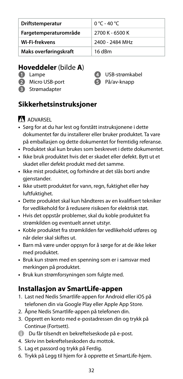| Driftstemperatur      | 0 °C - 40 °C    |
|-----------------------|-----------------|
| Fargetemperaturområde | 2700 K - 6500 K |
| Wi-Fi-frekvens        | 2400 - 2484 MHz |
| Maks overføringskraft | 16 dBm          |

#### **Hoveddeler** (bilde **A**)

- **1** Lampe
- **2** Micro USB-port
- **3** Strømadapter



#### **Sikkerhetsinstruksjoner**

#### **ADVARSEL**

- **•** Sørg for at du har lest og forstått instruksjonene i dette dokumentet før du installerer eller bruker produktet. Ta vare på emballasjen og dette dokumentet for fremtidig referanse.
- **•** Produktet skal kun brukes som beskrevet i dette dokumentet.
- **•** Ikke bruk produktet hvis det er skadet eller defekt. Bytt ut et skadet eller defekt produkt med det samme.
- **•** Ikke mist produktet, og forhindre at det slås borti andre gienstander.
- **•** Ikke utsett produktet for vann, regn, fuktighet eller høy luftfuktighet.
- **•** Dette produktet skal kun håndteres av en kvalifisert tekniker for vedlikehold for å redusere risikoen for elektrisk støt.
- **•** Hvis det oppstår problemer, skal du koble produktet fra strømkilden og eventuelt annet utstyr.
- **•** Koble produktet fra strømkilden før vedlikehold utføres og når deler skal skiftes ut.
- **•** Barn må være under oppsyn for å sørge for at de ikke leker med produktet.
- **•** Bruk kun strøm med en spenning som er i samsvar med merkingen på produktet.
- **•** Bruk kun strømforsyningen som fulgte med.

#### **Installasjon av SmartLife-appen**

- 1. Last ned Nedis Smartlife-appen for Android eller iOS på telefonen din via Google Play eller Apple App Store.
- 2. Åpne Nedis Smartlife-appen på telefonen din.
- 3. Opprett en konto med e-postadressen din og trykk på Continue (Fortsett).
- 4 Du får tilsendt en bekreftelseskode på e-post.
- 4. Skriv inn bekreftelseskoden du mottok.
- 5. Lag et passord og trykk på Ferdig.
- 6. Trykk på Legg til hjem for å opprette et SmartLife-hjem.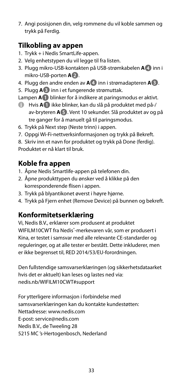7. Angi posisjonen din, velg rommene du vil koble sammen og trykk på Ferdig.

#### **Tilkobling av appen**

- 1. Trykk + i Nedis SmartLife-appen.
- 2. Velg enhetstypen du vil legge til fra listen.
- 3. Plugg mikro-USB-kontakten på USB-strømkabelen **A4** inn i mikro-USB-porten **A2**.
- 4. Plugg den andre enden av **A4** inn i strømadapteren **A3**.
- 5. Plugg **A3** inn i et fungerende strømuttak.

Lampen **A1** blinker for å indikere at paringsmodus er aktivt.

- 4 Hvis **A1** ikke blinker, kan du slå på produktet med på-/ av-bryteren **A5**. Vent 10 sekunder. Slå produktet av og på tre ganger for å manuelt gå til paringsmodus.
- 6. Trykk på Next step (Neste trinn) i appen.
- 7. Oppgi Wi-Fi-nettverksinformasjonen og trykk på Bekreft.

8. Skriv inn et navn for produktet og trykk på Done (ferdig).

Produktet er nå klart til bruk.

#### **Koble fra appen**

- 1. Åpne Nedis Smartlife-appen på telefonen din.
- 2. Åpne produkttypen du ønsker ved å klikke på den korresponderende flisen i appen.
- 3. Trykk på blyantikonet øverst i høyre hjørne.
- 4. Trykk på Fjern enhet (Remove Device) på bunnen og bekreft.

#### **Konformitetserklæring**

Vi, Nedis B.V., erklærer som produsent at produktet WIFILM10CWT fra Nedis®-merkevaren vår, som er produsert i Kina, er testet i samsvar med alle relevante CE-standarder og reguleringer, og at alle tester er bestått. Dette inkluderer, men er ikke begrenset til, RED 2014/53/EU-forordningen.

Den fullstendige samsvarserklæringen (og sikkerhetsdataarket hvis det er aktuelt) kan leses og lastes ned via: nedis.nb/WIFILM10CWT#support

For ytterligere informasjon i forbindelse med samsvarserklæringen kan du kontakte kundestøtten: Nettadresse: www.nedis.com E-post: service@nedis.com Nedis B.V., de Tweeling 28 5215 MC 's-Hertogenbosch, Nederland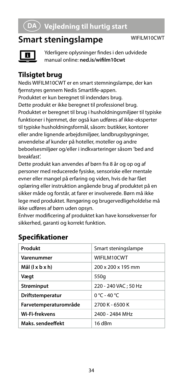### 2 **Vejledning til hurtig start**

### **Smart steningslampe** WIFILM10CWT



Yderligere oplysninger findes i den udvidede manual online: **ned.is/wifilm10cwt**

#### **Tilsigtet brug**

Nedis WIFILM10CWT er en smart stemningslampe, der kan fjernstyres gennem Nedis Smartlife-appen.

Produktet er kun beregnet til indendørs brug. Dette produkt er ikke beregnet til professionel brug. Produktet er beregnet til brug i husholdningsmiljøer til typiske funktioner i hjemmet, der også kan udføres af ikke-eksperter til typiske husholdningsformål, såsom: butikker, kontorer eller andre lignende arbejdsmiljøer, landbrugsbygninger, anvendelse af kunder på hoteller, moteller og andre beboelsesmiljøer og/eller i indkvarteringer såsom 'bed and breakfast'.

Dette produkt kan anvendes af børn fra 8 år og op og af personer med reducerede fysiske, sensoriske eller mentale evner eller mangel på erfaring og viden, hvis de har fået oplæring eller instruktion angående brug af produktet på en sikker måde og forstår, at farer er involverede. Børn må ikke lege med produktet. Rengøring og brugervedligeholdelse må ikke udføres af børn uden opsyn.

Enhver modificering af produktet kan have konsekvenser for sikkerhed, garanti og korrekt funktion.

| Produkt               | Smart steningslampe  |
|-----------------------|----------------------|
| Varenummer            | WIFILM10CWT          |
| Mål (l x b x h)       | 200 x 200 x 195 mm   |
| Vægt                  | 550g                 |
| Strøminput            | 220 - 240 VAC: 50 Hz |
| Driftstemperatur      | $0 °C - 40 °C$       |
| Farvetemperaturområde | 2700 K - 6500 K      |
| <b>Wi-Fi-frekvens</b> | 2400 - 2484 MHz      |
| Maks sendeeffekt      | 16 dBm               |

#### **Specifikationer**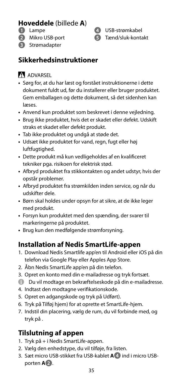#### **Hoveddele** (billede **A**)

- **1** Lampe
- **2** Mikro USB-port
- **3** Strømadapter

**4** USB-strømkabel **5** Tænd/sluk-kontakt

#### **Sikkerhedsinstruktioner**

#### **ADVARSEL**

- **•** Sørg for, at du har læst og forstået instruktionerne i dette dokument fuldt ud, før du installerer eller bruger produktet. Gem emballagen og dette dokument, så det sidenhen kan læses.
- **•** Anvend kun produktet som beskrevet i denne vejledning.
- **•** Brug ikke produktet, hvis det er skadet eller defekt. Udskift straks et skadet eller defekt produkt.
- **•** Tab ikke produktet og undgå at støde det.
- **•** Udsæt ikke produktet for vand, regn, fugt eller høj luftfugtighed.
- **•** Dette produkt må kun vedligeholdes af en kvalificeret tekniker pga. risikoen for elektrisk stød.
- **•** Afbryd produktet fra stikkontakten og andet udstyr, hvis der opstår problemer.
- **•** Afbryd produktet fra strømkilden inden service, og når du udskifter dele.
- **•** Børn skal holdes under opsyn for at sikre, at de ikke leger med produkt.
- **•** Forsyn kun produktet med den spænding, der svarer til markeringerne på produktet.
- **•** Brug kun den medfølgende strømforsyning.

#### **Installation af Nedis SmartLife-appen**

- 1. Download Nedis Smartlife app'en til Android eller iOS på din telefon via Google Play eller Apples App Store.
- 2. Åbn Nedis SmartLife app'en på din telefon.
- 3. Opret en konto med din e-mailadresse og tryk fortsæt.
- 4 Du vil modtage en bekræftelseskode på din e-mailadresse.
- 4. Indtast den modtagne verifikationskode.
- 5. Opret en adgangskode og tryk på Udført).
- 6. Tryk på Tilføj hjem) for at oprette et SmartLife-hjem.
- 7. Indstil din placering, vælg de rum, du vil forbinde med, og tryk på .

#### **Tilslutning af appen**

- 1. Tryk på + i Nedis SmartLife-appen.
- 2. Vælg den enhedstype, du vil tilføje, fra listen.
- 3. Sæt micro USB-stikket fra USB-kablet **A4** ind i micro USBporten **A2**.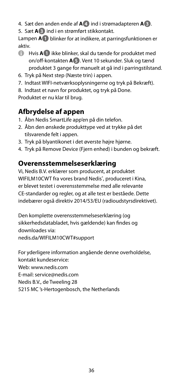- 4. Sæt den anden ende af **A4** ind i strømadapteren **A3**.
- 5. Sæt **A3** ind i en strømført stikkontakt.

Lampen **A1** blinker for at indikere, at parringsfunktionen er aktiv.

- 4 Hvis **A1** ikke blinker, skal du tænde for produktet med on/off-kontakten **A5**. Vent 10 sekunder. Sluk og tænd produktet 3 gange for manuelt at gå ind i parringstilstand.
- 6. Tryk på Next step (Næste trin) i appen.
- 7. Indtast WIFI-netværksoplysningerne og tryk på Bekræft).
- 8. Indtast et navn for produktet, og tryk på Done.

Produktet er nu klar til brug.

#### **Afbrydelse af appen**

- 1. Åbn Nedis SmartLife app'en på din telefon.
- 2. Åbn den ønskede produkttype ved at trykke på det tilsvarende felt i appen.
- 3. Tryk på blyantikonet i det øverste højre hjørne.
- 4. Tryk på Remove Device (Fjern enhed) i bunden og bekræft.

#### **Overensstemmelseserklæring**

Vi, Nedis B.V. erklærer som producent, at produktet WIFILM10CWT fra vores brand Nedis<sup>®</sup>, produceret i Kina, er blevet testet i overensstemmelse med alle relevante CE-standarder og regler, og at alle test er beståede. Dette indebærer også direktiv 2014/53/EU (radioudstyrsdirektivet).

Den komplette overensstemmelseserklæring (og sikkerhedsdatabladet, hvis gældende) kan findes og downloades via: nedis.da/WIFILM10CWT#support

For yderligere information angående denne overholdelse, kontakt kundeservice: Web: www.nedis.com E-mail: service@nedis.com Nedis B.V., de Tweeling 28 5215 MC 's-Hertogenbosch, the Netherlands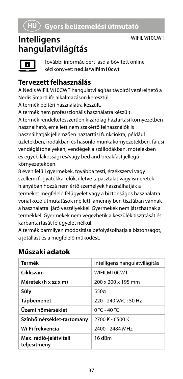#### WIFII M10CWT

### **Intelligens hangulatvilágítás**



További információért lásd a bővített online kézikönyvet: **ned.is/wifilm10cwt**

#### **Tervezett felhasználás**

A Nedis WIFILM10CWT hangulatvilágítás távolról vezérelhető a Nedis SmartLife alkalmazáson keresztül.

A termék beltéri használatra készült.

A termék nem professzionális használatra készült.

A termék rendeltetésszerűen kizárólag háztartási környezetben használható, emellett nem szakértő felhasználók is használhatják jellemzően háztartási funkciókra, például üzletekben, irodákban és hasonló munkakörnyezetekben, falusi vendéglátóhelyeken, vendégek a szállodákban, motelekben és egyéb lakossági és/vagy bed and breakfast jellegű környezetekben.

8 éven felüli gyermekek, továbbá testi, érzékszervi vagy szellemi fogyatékkal élők, illetve tapasztalat vagy ismeretek hiányában hozzá nem értő személyek használhatják a

terméket megfelelő felügyelet vagy a biztonságos használatra vonatkozó útmutatások mellett, amennyiben tisztában vannak a használattal járó veszélyekkel. Gyermekek nem játszhatnak a termékkel. Gyermekek nem végezhetik a készülék tisztítását és karbantartását felügyelet nélkül.

A termék bármilyen módosítása befolyásolhatja a biztonságot, a jótállást és a megfelelő működést.

| Termék                                 | Intelligens hangulatvilágítás |
|----------------------------------------|-------------------------------|
| Cikkszám                               | WIFILM10CWT                   |
| Méretek (h x sz x m)                   | 200 x 200 x 195 mm            |
| Súly                                   | 550g                          |
| Tápbemenet                             | 220 - 240 VAC: 50 Hz          |
| Üzemi hőmérséklet                      | 0 °C - 40 °C                  |
| Színhőmérséklet-tartomány              | 2700 K - 6500 K               |
| Wi-Fi frekvencia                       | 2400 - 2484 MHz               |
| Max. rádió-jelátviteli<br>teljesítmény | 16 dBm                        |

#### **Műszaki adatok**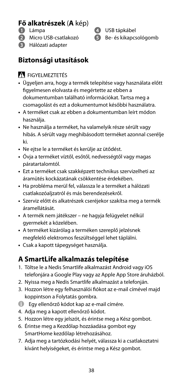## **Fő alkatrészek** (**A** kép) **<sup>1</sup>** Lámpa

- 
- **2** Micro USB-csatlakozó
- **3** Hálózati adapter
- 

**4** USB tápkábel **5** Be- és kikapcsológomb

#### **Biztonsági utasítások**

#### **N** FIGYELMEZTETÉS

- **•** Ügyeljen arra, hogy a termék telepítése vagy használata előtt figyelmesen elolvasta és megértette az ebben a dokumentumban található információkat. Tartsa meg a csomagolást és ezt a dokumentumot későbbi használatra.
- **•** A terméket csak az ebben a dokumentumban leírt módon használja.
- **•** Ne használja a terméket, ha valamelyik része sérült vagy hibás. A sérült vagy meghibásodott terméket azonnal cserélje ki.
- **•** Ne ejtse le a terméket és kerülje az ütődést.
- **•** Óvja a terméket víztől, esőtől, nedvességtől vagy magas páratartalomtól.
- **•** Ezt a terméket csak szakképzett technikus szervizelheti az áramütés kockázatának csökkentése érdekében.
- **•** Ha probléma merül fel, válassza le a terméket a hálózati csatlakozóaljzatról és más berendezésekről.
- **•** Szerviz előtt és alkatrészek cseréjekor szakítsa meg a termék áramellátását.
- **•** A termék nem játékszer ne hagyja felügyelet nélkül gyermekét a közelében.
- **•** A terméket kizárólag a terméken szereplő jelzésnek megfelelő elektromos feszültséggel lehet táplálni.
- **•** Csak a kapott tápegységet használja.

#### **A SmartLife alkalmazás telepítése**

- 1. Töltse le a Nedis Smartlife alkalmazást Android vagy iOS telefonjára a Google Play vagy az Apple App Store áruházból.
- 2. Nyissa meg a Nedis Smartlife alkalmazást a telefonján.
- 3. Hozzon létre egy felhasználói fiókot az e-mail címével majd koppintson a Folytatás gombra.
- 4 Egy ellenőrző kódot kap az e-mail címére.
- 4. Adja meg a kapott ellenőrző kódot.
- 5. Hozzon létre egy jelszót, és érintse meg a Kész gombot.
- 6. Érintse meg a Kezdőlap hozzáadása gombot egy SmartHome kezdőlap létrehozásához.
- 7. Adja meg a tartózkodási helyét, válassza ki a csatlakoztatni kívánt helyiségeket, és érintse meg a Kész gombot.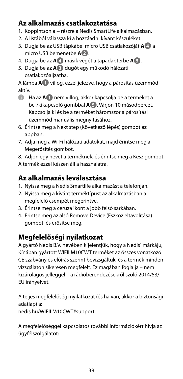#### **Az alkalmazás csatlakoztatása**

- 1. Koppintson a + részre a Nedis SmartLife alkalmazásban.
- 2. A listából válassza ki a hozzáadni kívánt készüléket.
- 3. Dugja be az USB tápkábel micro USB csatlakozóját **A4** a micro USB bemenetbe **A2**.
- 4. Dugja be az **A4** másik végét a tápadapterbe **A3**.
- 5. Dugja be az **A3** dugót egy működő hálózati csatlakozóaljzatba.

A lámpa **A1** villog, ezzel jelezve, hogy a párosítás üzemmód aktív.

- 4 Ha az **A1** nem villog, akkor kapcsolja be a terméket a be-/kikapcsoló gombbal **A5**. Várjon 10 másodpercet. Kapcsolja ki és be a terméket háromszor a párosítási üzemmód manuális megnyitásához.
- 6. Érintse meg a Next step (Következő lépés) gombot az apphan
- 7. Adja meg a Wi-Fi hálózati adatokat, majd érintse meg a Megerősítés gombot.

8. Adjon egy nevet a terméknek, és érintse meg a Kész gombot.

A termék ezzel készen áll a használatra.

#### **Az alkalmazás leválasztása**

- 1. Nyissa meg a Nedis Smartlife alkalmazást a telefonján.
- 2. Nyissa meg a kívánt terméktípust az alkalmazásban a megfelelő csempét megérintve.
- 3. Érintse meg a ceruza ikont a jobb felső sarkában.
- 4. Érintse meg az alsó Remove Device (Eszköz eltávolítása) gombot, és erősítse meg.

#### **Megfelelőségi nyilatkozat**

A gyártó Nedis B.V. nevében kijelentjük, hogy a Nedis˚ márkájú, Kínában gyártott WIFILM10CWT terméket az összes vonatkozó CE szabvány és előírás szerint bevizsgáltuk, és a termék minden vizsgálaton sikeresen megfelelt. Ez magában foglalja – nem kizárólagos jelleggel – a rádióberendezésekről szóló 2014/53/ EU irányelvet.

A teljes megfelelőségi nyilatkozat (és ha van, akkor a biztonsági adatlap) a:

nedis.hu/WIFILM10CWT#support

A megfelelőséggel kapcsolatos további információkért hívja az ügyfélszolgálatot: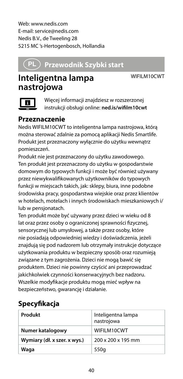Web: www.nedis.com E-mail: service@nedis.com Nedis B.V., de Tweeling 28 5215 MC 's-Hertogenbosch, Hollandia

### n **Przewodnik Szybki start**

WIFILM10CWT

### **Inteligentna lampa nastrojowa**

Więcej informacji znajdziesz w rozszerzonej instrukcji obsługi online: **ned.is/wifilm10cwt**

#### **Przeznaczenie**

Nedis WIFILM10CWT to inteligentna lampa nastrojowa, którą można sterować zdalnie za pomocą aplikacji Nedis Smartlife. Produkt jest przeznaczony wyłącznie do użytku wewnątrz pomieszczeń.

Produkt nie jest przeznaczony do użytku zawodowego. Ten produkt jest przeznaczony do użytku w gospodarstwie domowym do typowych funkcji i może być również używany przez niewykwalifikowanych użytkowników do typowych funkcji w miejscach takich, jak: sklepy, biura, inne podobne środowiska pracy, gospodarstwa wiejskie oraz przez klientów w hotelach, motelach i innych środowiskach mieszkaniowych i/ lub w pensjonatach.

Ten produkt może być używany przez dzieci w wieku od 8 lat oraz przez osoby o ograniczonej sprawności fizycznej, sensorycznej lub umysłowej, a także przez osoby, które nie posiadają odpowiedniej wiedzy i doświadczenia, jeżeli znajdują się pod nadzorem lub otrzymały instrukcje dotyczące użytkowania produktu w bezpieczny sposób oraz rozumieją związane z tym zagrożenia. Dzieci nie mogą bawić się produktem. Dzieci nie powinny czyścić ani przeprowadzać jakichkolwiek czynności konserwacyjnych bez nadzoru. Wszelkie modyfikacje produktu mogą mieć wpływ na bezpieczeństwo, gwarancję i działanie.

#### **Specyfikacja**

| Produkt                      | Inteligentna lampa<br>nastrojowa |
|------------------------------|----------------------------------|
| Numer katalogowy             | WIFILM10CWT                      |
| Wymiary (dł. x szer. x wys.) | 200 x 200 x 195 mm               |
| Waqa                         | 550g                             |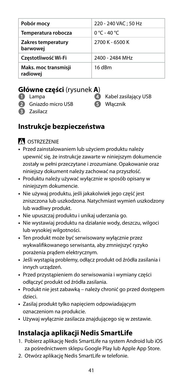| Pobór mocy                       | 220 - 240 VAC: 50 Hz            |
|----------------------------------|---------------------------------|
| Temperatura robocza              | $0^{\circ}$ C - 40 $^{\circ}$ C |
| Zakres temperatury<br>barwowej   | 2700 K - 6500 K                 |
| Częstotliwość Wi-Fi              | 2400 - 2484 MHz                 |
| Maks. moc transmisji<br>radiowej | 16 dBm                          |

#### **Główne części** (rysunek **A**)

- **1** Lampa
- **2** Gniazdo micro USB
- **4** Kabel zasilający USB
- **5** Włącznik

**3** Zasilacz

#### **Instrukcje bezpieczeństwa**

#### -OSTRZEŻENIE

- **•** Przed zainstalowaniem lub użyciem produktu należy upewnić się, że instrukcje zawarte w niniejszym dokumencie zostały w pełni przeczytane i zrozumiane. Opakowanie oraz niniejszy dokument należy zachować na przyszłość.
- **•** Produktu należy używać wyłącznie w sposób opisany w niniejszym dokumencie.
- **•** Nie używaj produktu, jeśli jakakolwiek jego część jest zniszczona lub uszkodzona. Natychmiast wymień uszkodzony lub wadliwy produkt.
- **•** Nie upuszczaj produktu i unikaj uderzania go.
- **•** Nie wystawiaj produktu na działanie wody, deszczu, wilgoci lub wysokiej wilgotności.
- **•** Ten produkt może być serwisowany wyłącznie przez wykwalifikowanego serwisanta, aby zmniejszyć ryzyko porażenia prądem elektrycznym.
- **•** Jeśli wystąpią problemy, odłącz produkt od źródła zasilania i innych urządzeń.
- **•** Przed przystąpieniem do serwisowania i wymiany części odłączyć produkt od źródła zasilania.
- **•** Produkt nie jest zabawką należy chronić go przed dostępem dzieci.
- **•** Zasilaj produkt tylko napięciem odpowiadającym oznaczeniom na produkcie.
- **•** Używaj wyłącznie zasilacza znajdującego się w zestawie.

#### **Instalacja aplikacji Nedis SmartLife**

- 1. Pobierz aplikację Nedis SmartLife na system Android lub iOS za pośrednictwem sklepu Google Play lub Apple App Store.
- 2. Otwórz aplikację Nedis SmartLife w telefonie.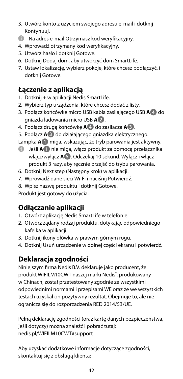- 3. Utwórz konto z użyciem swojego adresu e-mail i dotknij Kontynuuj.
- $\bigcap$  Na adres e-mail Otrzymasz kod weryfikacyjny.
- 4. Wprowadź otrzymany kod weryfikacyjny.
- 5. Utwórz hasło i dotknij Gotowe.
- 6. Dotknij Dodaj dom, aby utworzyć dom SmartLife.
- 7. Ustaw lokalizację, wybierz pokoje, które chcesz podłączyć, i dotknij Gotowe.

#### **Łączenie z aplikacją**

- 1. Dotknij + w aplikacji Nedis SmartLife.
- 2. Wybierz typ urządzenia, które chcesz dodać z listy.
- 3. Podłącz końcówkę micro USB kabla zasilającego USB **A4** do gniazda ładowania micro USB **A2**.
- 4. Podłącz drugą końcówkę **A4** do zasilacza **A3**.
- 5. Podłącz **A3** do działającego gniazdka elektrycznego.
- Lampka **A1** miga, wskazując, że tryb parowania jest aktywny.
- 4 Jeśli **A1** nie miga, włącz produkt za pomocą przełącznika włącz/wyłącz **A5**. Odczekaj 10 sekund. Wyłącz i włącz produkt 3 razy, aby ręcznie przejść do trybu parowania.
- 6. Dotknij Next step (Następny krok) w aplikacji.
- 7. Wprowadź dane sieci Wi-Fi i naciśnij Potwierdź.
- 8. Wpisz nazwę produktu i dotknij Gotowe.

Produkt jest gotowy do użycia.

#### **Odłączanie aplikacji**

- 1. Otwórz aplikację Nedis SmartLife w telefonie.
- 2. Otwórz żądany rodzaj produktu, dotykając odpowiedniego kafelka w aplikacii.
- 3. Dotknij ikony ołówka w prawym górnym rogu.
- 4. Dotknij Usuń urządzenie w dolnej części ekranu i potwierdź.

#### **Deklaracja zgodności**

Niniejszym firma Nedis B.V. deklaruje jako producent, że produkt WIFILM10CWT naszej marki Nedis<sup>\*</sup>, produkowany w Chinach, został przetestowany zgodnie ze wszystkimi odpowiednimi normami i przepisami WE oraz że we wszystkich testach uzyskał on pozytywny rezultat. Obejmuje to, ale nie ogranicza się do rozporządzenia RED 2014/53/UE.

Pełną deklarację zgodności (oraz kartę danych bezpieczeństwa, jeśli dotyczy) można znaleźć i pobrać tutaj: nedis.pl/WIFILM10CWT#support

Aby uzyskać dodatkowe informacje dotyczące zgodności, skontaktuj się z obsługą klienta: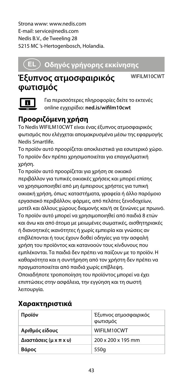Strona www: www.nedis.com E-mail: service@nedis.com Nedis B.V., de Tweeling 28 5215 MC 's-Hertogenbosch, Holandia.

### x **Οδηγός γρήγορης εκκίνησης**

### **Έξυπνος ατμοσφαιρικός φωτισμός**

WIFILM10CWT



Για περισσότερες πληροφορίες δείτε το εκτενές online εγχειρίδιο: **ned.is/wifilm10cwt**

#### **Προοριζόμενη χρήση**

Το Nedis WIFILM10CWT είναι ένας έξυπνος ατμοσφαιρικός φωτισμός που ελέγχεται απομακρυσμένα μέσω της εφαρμογής Nedis Smartlife.

Το προϊόν αυτό προορίζεται αποκλειστικά για εσωτερικό χώρο. Το προϊόν δεν πρέπει χρησιμοποιείται για επαγγελματική χρήση.

Το προϊόν αυτό προορίζεται για χρήση σε οικιακό περιβάλλον για τυπικές οικιακές χρήσεις και μπορεί επίσης να χρησιμοποιηθεί από μη έμπειρους χρήστες για τυπική οικιακή χρήση, όπως: καταστήματα, γραφεία ή άλλo παρόμοιο εργασιακό περιβάλλον, φάρμες, από πελάτες ξενοδοχείων, μοτέλ και άλλους χώρους διαμονής και/ή σε ξενώνες με πρωινό. Το προϊόν αυτό μπορεί να χρησιμοποιηθεί από παιδιά 8 ετών και άνω και από άτομα με μειωμένες σωματικές, αισθητηριακές ή διανοητικές ικανότητες ή χωρίς εμπειρία και γνώσεις αν επιβλέπονται ή τους έχουν δοθεί οδηγίες για την ασφαλή χρήση του προϊόντος και κατανοούν τους κίνδυνους που εμπλέκονται. Τα παιδιά δεν πρέπει να παίζουν με το προϊόν. Η καθαριότητα και η συντήρηση από τον χρήστη δεν πρέπει να πραγματοποιείται από παιδιά χωρίς επίβλεψη. Οποιαδήποτε τροποποίηση του προϊόντος μπορεί να έχει επιπτώσεις στην ασφάλεια, την εγγύηση και τη σωστή

λειτουργία.

| Χαρακτηριστικά |  |
|----------------|--|
|----------------|--|

| Προϊόν                 | Έξυπνος ατμοσφαιρικός<br>φωτισμός |
|------------------------|-----------------------------------|
| Αριθμός είδους         | WIFILM10CWT                       |
| Διαστάσεις (μ x π x υ) | 200 x 200 x 195 mm                |
| Βάρος                  | 550g                              |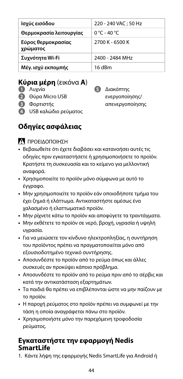| Ισχύς εισόδου                  | 220 - 240 VAC; 50 Hz |
|--------------------------------|----------------------|
| Θερμοκρασία λειτουργίας        | 0 °C - 40 °C         |
| Εύρος θερμοκρασίας<br>χρώματος | 2700 K - 6500 K      |
| Συχνότητα Wi-Fi                | 2400 - 2484 MHz      |
| Μέγ. ισχύ εκπομπής             | 16 dBm               |

#### **Κύρια μέρη** (εικόνα **A**)

- **1** Λυχνία
- **2** Θύρα Micro USB
- **3** Φορτιστής
- **4** USB καλώδιο ρεύματος

**5** Διακόπτης ενεργοποίησης/ απενεργοποίησης

#### **Οδηγίες ασφάλειας**

-ΠΡΟΕΙΔΟΠΟΙΗΣΗ

- **•** Βεβαιωθείτε ότι έχετε διαβάσει και κατανοήσει αυτές τις οδηγίες πριν εγκαταστήσετε ή χρησιμοποιήσετε το προϊόν. Κρατήστε τη συσκευασία και το κείμενο για μελλοντική αναφορά.
- **•** Χρησιμοποιείτε το προϊόν μόνο σύμφωνα με αυτό το έγγραφο.
- **•** Μην χρησιμοποιείτε το προϊόν εάν οποιοδήποτε τμήμα του έχει ζημιά ή ελάττωμα. Αντικαταστήστε αμέσως ένα χαλασμένο ή ελαττωματικό προϊόν.
- **•** Μην ρίχνετε κάτω το προϊόν και αποφύγετε τα τραντάγματα.
- **•** Μην εκθέτετε το προϊόν σε νερό, βροχή, υγρασία ή υψηλή υγρασία.
- **•** Για να μειώσετε τον κίνδυνο ηλεκτροπληξίας, η συντήρηση του προϊόντος πρέπει να πραγματοποιείται μόνο από εξουσιοδοτημένο τεχνικό συντήρησης.
- **•** Αποσυνδέστε το προϊόν από το ρεύμα όπως και άλλες συσκευές αν προκύψει κάποιο πρόβλημα.
- **•** Αποσυνδέστε το προϊόν από το ρεύμα πριν από το σέρβις και κατά την αντικατάσταση εξαρτημάτων.
- **•** Τα παιδιά θα πρέπει να επιβλέπονται ώστε να μην παίζουν με το προϊόν.
- **•** Η παροχή ρεύματος στο προϊόν πρέπει να συμφωνεί με την τάση η οποία αναγράφεται πάνω στο προϊόν.
- **•** Χρησιμοποιήστε μόνο την παρεχόμενη τροφοδοσία ρεύματος.

#### **Εγκαταστήστε την εφαρμογή Nedis SmartLife**

1. Κάντε λήψη της εφαρμογής Nedis SmartLife για Android ή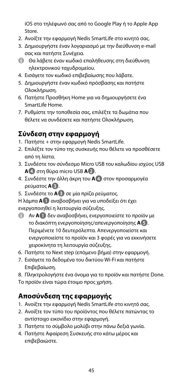iOS στο τηλέφωνό σας από το Google Play ή το Apple App Store.

- 2. Ανοίξτε την εφαρμογή Nedis SmartLife στο κινητό σας.
- 3. Δημιουργήστε έναν λογαριασμό με την διεύθυνση e-mail σας και πατήστε Συνέχεια.
- 4 Θα λάβετε έναν κωδικό επαλήθευσης στη διεύθυνση ηλεκτρονικού ταχυδρομείου.
- 4. Εισάγετε τον κωδικό επιβεβαίωσης που λάβατε.
- 5. Δημιουργήστε έναν κωδικό πρόσβασης και πατήστε Ολοκλήρωση.
- 6. Πατήστε Προσθήκη Home για να δημιουργήσετε ένα SmartLife Home.
- 7. Ρυθμίστε την τοποθεσία σας, επιλέξτε τα δωμάτια που θέλετε να συνδέσετε και πατήστε Ολοκλήρωση.

#### **Σύνδεση στην εφαρμογή**

- 1. Πατήστε + στην εφαρμογή Nedis SmartLife.
- 2. Επιλέξτε τον τύπο της συσκευής που θέλετε να προσθέσετε από τη λίστα.
- 3. Συνδέστε τον σύνδεσμο Micro USB του καλωδίου ισχύος USB **A4** στη θύρα micro USB **A2**.
- 4. Συνδέστε την άλλη άκρη του **A4** στον προσαρμογέα ρεύματος **A3**.
- 5. Συνδέστε το **A3** σε μία πρίζα ρεύματος.
- Η λάμπα **A1** αναβοσβήνει για να υποδείξει ότι έχει ενεργοποιηθεί η λειτουργία σύζευξης.
- 4 Αν **A1** δεν αναβοσβήνει, ενεργοποιείστε το προϊόν με το διακόπτη ενεργοποίησης/απενεργοποίησης **A5**. Περιμένετε 10 δευτερόλεπτα. Απενεργοποιείστε και ενεργοποιείστε το προϊόν και 3 φορές για να εκκινήσετε χειροκίνητα τη λειτουργία σύζευξης.
- 6. Πατήστε το Next step (επόμενο βήμα) στην εφαρμογή.
- 7. Εισάγετε τα δεδομένα του δικτύου Wi-Fi και πατήστε Επιβεβαίωση.

8. Πληκτρολογήστε ένα όνομα για το προϊόν και πατήστε Done. Το προϊόν είναι τώρα έτοιμο προς χρήση.

#### **Αποσύνδεση της εφαρμογής**

- 1. Ανοίξτε την εφαρμογή Nedis SmartLife στο κινητό σας.
- 2. Ανοίξτε τον τύπο του προϊόντος που θέλετε πατώντας το αντίστοιχο εικονίδιο στην εφαρμογή.
- 3. Πατήστε το σύμβολο μολύβι στην πάνω δεξιά γωνία.
- 4. Πατήστε Αφαίρεση Συσκευής στο κάτω μέρος και επιβεβαιώστε.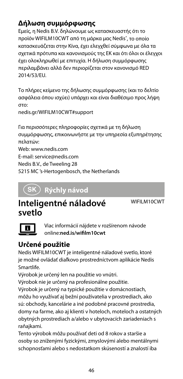#### **Δήλωση συμμόρφωσης**

Εμείς, η Nedis B.V. δηλώνουμε ως κατασκευαστής ότι το προϊόν WIFILM10CWT από τη μάρκα μας Nedis® , το οποίο κατασκευάζεται στην Κίνα, έχει ελεγχθεί σύμφωνα με όλα τα σχετικά πρότυπα και κανονισμούς της ΕΚ και ότι όλοι οι έλεγχοι έχει ολοκληρωθεί με επιτυχία. Η δήλωση συμμόρφωσης περιλαμβάνει αλλά δεν περιορίζεται στον κανονισμό RED 2014/53/EU.

Το πλήρες κείμενο της δήλωσης συμμόρφωσης (και το δελτίο ασφάλεια όπου ισχύει) υπάρχει και είναι διαθέσιμο προς λήψη στο:

nedis.gr/WIFILM10CWT#support

Για περισσότερες πληροφορίες σχετικά με τη δήλωση συμμόρφωσης, επικοινωνήστε με την υπηρεσία εξυπηρέτησης πελατών: Web: www.nedis.com E-mail: service@nedis.com

Nedis B.V., de Tweeling 28

5215 MC 's-Hertogenbosch, the Netherlands

### 1 **Rýchly návod**

#### **Inteligentné náladové svetlo**

WIFILM10CWT



Viac informácií nájdete v rozšírenom návode online:**ned.is/wifilm10cwt**

#### **Určené použitie**

Nedis WIFILM10CWT je inteligentné náladové svetlo, ktoré je možné ovládať diaľkovo prostredníctvom aplikácie Nedis Smartlife.

Výrobok je určený len na použitie vo vnútri.

Výrobok nie je určený na profesionálne použitie.

Výrobok je určený na typické použitie v domácnostiach, môžu ho využívať aj bežní používatelia v prostrediach, ako sú: obchody, kancelárie a iné podobné pracovné prostredia, domy na farme, ako aj klienti v hoteloch, moteloch a ostatných obytných prostrediach a/alebo v ubytovacích zariadeniach s raňaikami.

Tento výrobok môžu používať deti od 8 rokov a staršie a osoby so zníženými fyzickými, zmyslovými alebo mentálnymi schopnosťami alebo s nedostatkom skúseností a znalostí iba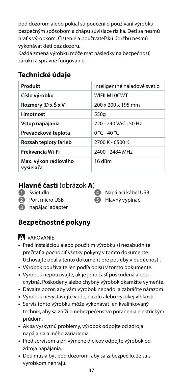pod dozorom alebo pokiaľ sú poučení o používaní výrobku bezpečným spôsobom a chápu súvisiace riziká. Deti sa nesmú hrať s výrobkom. Čistenie a používateľskú údržbu nesmú vykonávať deti bez dozoru.

Každá zmena výrobku môže mať následky na bezpečnosť, záruku a správne fungovanie.

#### **Technické údaje**

| Produkt                           | Inteligentné náladové svetlo |
|-----------------------------------|------------------------------|
| Číslo výrobku                     | WIFILM10CWT                  |
| Rozmery (D x Š x V)               | 200 x 200 x 195 mm           |
| <b>Hmotnosť</b>                   | 550g                         |
| Vstup napájania                   | 220 - 240 VAC: 50 Hz         |
| Prevádzková teplota               | $0 °C - 40 °C$               |
| Rozsah teploty farieb             | 2700 K - 6500 K              |
| Frekvencia Wi-Fi                  | 2400 - 2484 MHz              |
| Max. výkon rádiového<br>vysielača | 16 dBm                       |

#### **Hlavné časti** (obrázok **A**)

- **1** Svietidlo
- **2** Port micro USB
- 
- **4** Napájací kábel USB **5** Hlavný vypínač
- **3** napájací adaptér

#### **Bezpečnostné pokyny**

**VAROVANIE** 

- **•** Pred inštaláciou alebo použitím výrobku si nezabudnite prečítať a pochopiť všetky pokyny v tomto dokumente. Uchovajte obal a tento dokument pre potreby v budúcnosti.
- **•** Výrobok používajte len podľa opisu v tomto dokumente.
- **•** Výrobok nepoužívajte, ak je jeho časť poškodená alebo chybná. Poškodený alebo chybný výrobok okamžite vymeňte.
- **•** Dávajte pozor, aby vám výrobok nepadol a zabráňte nárazom.
- **•** Výrobok nevystavujte vode, dažďu alebo vysokej vlhkosti.
- **•** Servis tohto výrobku môže vykonávať len kvalifikovaný technik, aby sa znížilo nebezpečenstvo poranenia elektrickým prúdom.
- **•** Ak sa vyskytnú problémy, výrobok odpojte od zdroja napájania a iného zariadenia.
- **•** Pred servisom a pri výmene dielcov odpojte výrobok od zdroja napájania.
- **•** Deti musia byť pod dozorom, aby sa zabezpečilo, že sa s výrobkom nehrajú.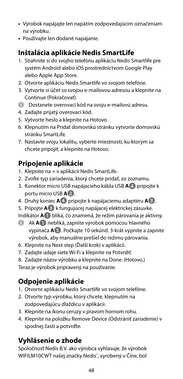- **•** Výrobok napájajte len napätím zodpovedajúcim označeniam na výrobku.
- **•** Používajte len dodané napájanie.

#### **Inštalácia aplikácie Nedis SmartLife**

- 1. Stiahnite si do svojho telefónu aplikáciu Nedis Smartlife pre systém Android alebo iOS prostredníctvom Google Play alebo Apple App Store.
- 2. Otvorte aplikáciu Nedis Smartlife vo svojom telefóne.
- 3. Vytvorte si účet so svojou e-mailovou adresou a klepnite na Continue (Pokračovať).
- **4** Dostanete overovací kód na svoju e-mailovú adresu.
- 4. Zadajte prijatý overovací kód.
- 5. Vytvorte heslo a klepnite na Hotovo.
- 6. Klepnutím na Pridať domovskú stránku vytvorte domovskú stránku Smartlife.
- 7. Nastavte svoju lokalitu, vyberte miestnosti, ku ktorým sa chcete pripojiť, a klepnite na Hotovo.

#### **Pripojenie aplikácie**

- 1. Klepnite na + v aplikácii Nedis SmartLife.
- 2. Zvoľte typ zariadenia, ktorý chcete pridať, zo zoznamu.
- 3. Konektor micro USB napájacieho kábla USB **A4** pripojte k portu micro USB **A2**.
- 4. Druhý koniec **A4** pripojte k napájaciemu adaptéru **A3**.
- 5. Pripojte **A3** k fungujúcej napájacej elektrickej zásuvke.
- Indikátor **A1** bliká, čo znamená, že režim párovania je aktívny.
- 4 Ak **A1** nebliká, zapnite výrobok pomocou hlavného vypínača **A5**. Počkajte 10 sekúnd. 3-krát vypnite a zapnite výrobok, aby manuálne prešiel do režimu párovania.
- 6. Klepnite na Next step (Ďalší krok) v aplikácii.
- 7. Zadajte údaje siete Wi-Fi a klepnite na Potvrdiť.
- 8. Zadajte názov výrobku a klepnite na Done. (Hotovo.)

Teraz je výrobok pripravený na používanie.

#### **Odpojenie aplikácie**

- 1. Otvorte aplikáciu Nedis Smartlife vo svojom telefóne.
- 2. Otvorte typ výrobku, ktorý chcete, klepnutím na zodpovedajúcu dlaždicu v aplikácii.
- 3. Klepnite na ikonu ceruzy v pravom hornom rohu.
- 4. Klepnite na položku Remove Device (Odstrániť zariadenie) v spodnej časti a potvrďte.

#### **Vyhlásenie o zhode**

Spoločnosť Nedis B.V. ako výrobca vyhlasuje, že výrobok WIFILM10CWT našej značky Nedis®, vyrobený v Číne, bol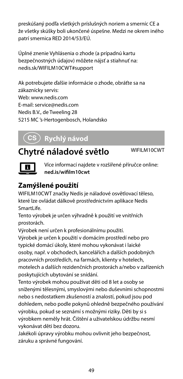preskúšaný podľa všetkých príslušných noriem a smerníc CE a že všetky skúšky boli ukončené úspešne. Medzi ne okrem iného patrí smernica RED 2014/53/EÚ.

Úplné znenie Vyhlásenia o zhode (a prípadnú kartu bezpečnostných údajov) môžete nájsť a stiahnuť na: nedis.sk/WIFILM10CWT#support

Ak potrebujete ďalšie informácie o zhode, obráťte sa na zákaznícky servis: Web: www.nedis.com E-mail: service@nedis.com Nedis B.V., de Tweeling 28 5215 MC 's-Hertogenbosch, Holandsko

### l **Rychlý návod**

### **Chytré náladové světlo** WIFILM10CWT



Více informací najdete v rozšířené příručce online: **ned.is/wifilm10cwt**

#### **Zamýšlené použití**

WIFILM10CWT značky Nedis je náladové osvětlovací těleso, které lze ovládat dálkově prostřednictvím aplikace Nedis SmartLife.

Tento výrobek je určen výhradně k použití ve vnitřních prostorách.

Výrobek není určen k profesionálnímu použití.

Výrobek je určen k použití v domácím prostředí nebo pro typické domácí úkoly, které mohou vykonávat i laické osoby, např. v obchodech, kancelářích a dalších podobných pracovních prostředích, na farmách, klienty v hotelech, motelech a dalších rezidenčních prostorách a/nebo v zařízeních poskytujících ubytování se snídání.

Tento výrobek mohou používat děti od 8 let a osoby se sníženými tělesnými, smyslovými nebo duševními schopnostmi nebo s nedostatkem zkušeností a znalostí, pokud jsou pod dohledem, nebo podle pokynů ohledně bezpečného používání výrobku, pokud se seznámí s možnými riziky. Děti by si s výrobkem neměly hrát. Čištění a uživatelskou údržbu nesmí vykonávat děti bez dozoru.

Jakékoli úpravy výrobku mohou ovlivnit jeho bezpečnost, záruku a správné fungování.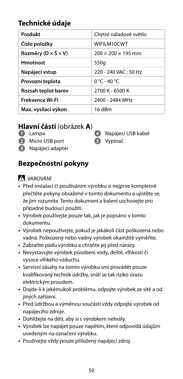#### **Technické údaje**

| Produkt                                   | Chytré náladové světlo         |
|-------------------------------------------|--------------------------------|
| Číslo položky                             | WIFILM10CWT                    |
| Rozměry ( $D \times \check{S} \times V$ ) | $200 \times 200 \times 195$ mm |
| <b>Hmotnost</b>                           | 550g                           |
| Napájecí vstup                            | 220 - 240 VAC: 50 Hz           |
| Provozní teplota                          | $0 °C - 40 °C$                 |
| Rozsah teplot barev                       | 2700 K - 6500 K                |
| <b>Frekvence Wi-Fi</b>                    | 2400 - 2484 MHz                |
| Max. vysílací výkon                       | 16 dBm                         |

#### **Hlavní části** (obrázek **A**)

- **1** Lampa
- **2** Micro USB port
- **3** Napájecí adaptér
- **4** Napájecí USB kabel
- **5** Vypínač

#### **Bezpečnostní pokyny**

#### -VAROVÁNÍ

- **•** Před instalací či používáním výrobku si nejprve kompletně přečtěte pokyny obsažené v tomto dokumentu a ujistěte se, že jim rozumíte. Tento dokument a balení uschovejte pro případné budoucí použití.
- **•** Výrobek používejte pouze tak, jak je popsáno v tomto dokumentu.
- **•** Výrobek nepoužívejte, pokud je jakákoli část poškozená nebo vadná. Poškozený nebo vadný výrobek okamžitě vyměňte.
- **•** Zabraňte pádu výrobku a chraňte jej před nárazy.
- **•** Nevystavujte výrobek působení vody, deště, vlhkosti či vysoce vlhkého vzduchu.
- **•** Servisní zásahy na tomto výrobku smí provádět pouze kvalifikovaný technik údržby, sníží se tak riziko úrazu elektrickým proudem.
- **•** Dojde-li k jakémukoli problému, odpojte výrobek ze sítě a od jiných zařízení.
- **•** Před údržbou a výměnou součástí vždy odpojte výrobek od napájecího zdroje.
- **•** Dohlížejte na děti, aby si s výrobkem nehrály.
- **•** Výrobek lze napájet pouze napětím, které odpovídá údajům uvedeným na označení výrobku.
- **•** Používejte vždy pouze přiložený napájecí zdroj.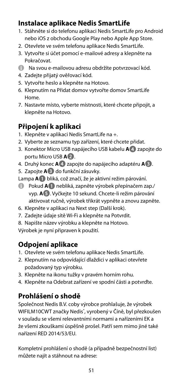#### **Instalace aplikace Nedis SmartLife**

- 1. Stáhněte si do telefonu aplikaci Nedis SmartLife pro Android nebo iOS z obchodu Google Play nebo Apple App Store.
- 2. Otevřete ve svém telefonu aplikace Nedis SmartLife.
- 3. Vytvořte si účet pomocí e-mailové adresy a klepněte na Pokračovat.
- 4 Na svou e-mailovou adresu obdržíte potvrzovací kód.
- 4. Zadejte přijatý ověřovací kód.
- 5. Vytvořte heslo a klepněte na Hotovo.
- 6. Klepnutím na Přidat domov vytvořte domov SmartLife Home.
- 7. Nastavte místo, vyberte místnosti, které chcete připojit, a klepněte na Hotovo.

#### **Připojení k aplikaci**

- 1. Klepněte v aplikaci Nedis SmartLife na +.
- 2. Vyberte ze seznamu typ zařízení, které chcete přidat.
- 3. Konektor Micro USB napájecího USB kabelu **A4** zapojte do portu Micro USB **A2**.
- 4. Druhý konec **A4** zapojte do napájecího adaptéru **A3**.
- 5. Zapojte **A3** do funkční zásuvky.

Lampa **A1** bliká, což značí, že je aktivní režim párování.

- 4 Pokud **A1** nebliká, zapněte výrobek přepínačem zap./ vyp. **A5**. Vyčkejte 10 sekund. Chcete-li režim párování aktivovat ručně, výrobek třikrát vypněte a znovu zapněte.
- 6. Klepněte v aplikaci na Next step (Další krok).
- 7. Zadejte údaje sítě Wi-Fi a klepněte na Potvrdit.
- 8. Napište název výrobku a klepněte na Hotovo.

Výrobek je nyní připraven k použití.

#### **Odpojení aplikace**

- 1. Otevřete ve svém telefonu aplikace Nedis SmartLife.
- 2. Klepnutím na odpovídající dlaždici v aplikaci otevřete požadovaný typ výrobku.
- 3. Klepněte na ikonu tužky v pravém horním rohu.
- 4. Klepněte na Odebrat zařízení ve spodní části a potvrďte.

#### **Prohlášení o shodě**

Společnost Nedis B.V. coby výrobce prohlašuje, že výrobek WIFILM10CWT značky Nedis<sup>\*</sup>, vyrobený v Číně, byl přezkoušen v souladu se všemi relevantními normami a nařízeními EK a že všemi zkouškami úspěšně prošel. Patří sem mimo jiné také nařízení RED 2014/53/EU.

Kompletní prohlášení o shodě (a případně bezpečnostní list) můžete najít a stáhnout na adrese: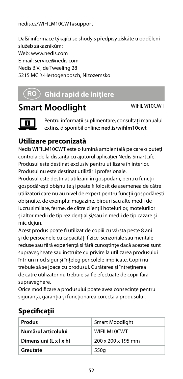#### nedis.cs/WIFILM10CWT#support

Další informace týkající se shody s předpisy získáte u oddělení služeb zákazníkům: Web: www.nedis.com E-mail: service@nedis.com Nedis B.V., de Tweeling 28 5215 MC 's-Hertogenbosch, Nizozemsko

### y **Ghid rapid de inițiere**

### **Smart Moodlight** WIFILM10CWT



Pentru informații suplimentare, consultați manualul extins, disponibil online: **ned.is/wifilm10cwt**

#### **Utilizare preconizată**

Nedis WIFILM10CWT este o lumină ambientală pe care o puteți controla de la distanță cu ajutorul aplicației Nedis SmartLife. Produsul este destinat exclusiv pentru utilizare în interior. Produsul nu este destinat utilizării profesionale.

Produsul este destinat utilizării în gospodării, pentru funcții gospodărești obișnuite și poate fi folosit de asemenea de către utilizatori care nu au nivel de expert pentru funcții gospodărești obișnuite, de exemplu: magazine, birouri sau alte medii de lucru similare, ferme, de către clienții hotelurilor, motelurilor și altor medii de tip rezidențial și/sau în medii de tip cazare și mic dejun.

Acest produs poate fi utilizat de copiii cu vârsta peste 8 ani și de persoanele cu capacități fizice, senzoriale sau mentale reduse sau fără experiență și fără cunoștințe dacă acestea sunt supravegheate sau instruite cu privire la utilizarea produsului într-un mod sigur și înțeleg pericolele implicate. Copii nu trebuie să se joace cu produsul. Curățarea și întreținerea de către utilizator nu trebuie să fie efectuate de copii fără supraveghere.

Orice modificare a produsului poate avea consecințe pentru siguranța, garanția și funcționarea corectă a produsului.

#### **Specificaţii**

| Produs                 | Smart Moodlight    |
|------------------------|--------------------|
| Numărul articolului    | WIFILM10CWT        |
| Dimensiuni (L x l x h) | 200 x 200 x 195 mm |
| Greutate               | 550g               |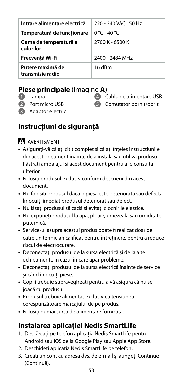| Intrare alimentare electrică         | 220 - 240 VAC: 50 Hz |
|--------------------------------------|----------------------|
|                                      |                      |
| Temperatură de functionare           | 0 °C - 40 °C         |
| Gama de temperatură a<br>culorilor   | 2700 K - 6500 K      |
| Frecventă Wi-Fi                      | 2400 - 2484 MHz      |
| Putere maximă de<br>transmisie radio | 16 dBm               |

#### **Piese principale** (imagine **A**)

- **1** Lampă
- **2** Port micro USB
- 

**4** Cablu de alimentare USB **5** Comutator pornit/oprit

**3** Adaptor electric

#### **Instrucțiuni de siguranță**

#### N AVERTISMENT

- **•** Asigurați-vă că ați citit complet și că ați înțeles instrucțiunile din acest document înainte de a instala sau utiliza produsul. Păstrați ambalajul și acest document pentru a le consulta ulterior.
- **•** Folosiți produsul exclusiv conform descrierii din acest document.
- **•** Nu folosiți produsul dacă o piesă este deteriorată sau defectă. Înlocuiți imediat produsul deteriorat sau defect.
- **•** Nu lăsați produsul să cadă și evitați ciocnirile elastice.
- **•** Nu expuneți produsul la apă, ploaie, umezeală sau umiditate puternică.
- **•** Service-ul asupra acestui produs poate fi realizat doar de către un tehnician calificat pentru întreținere, pentru a reduce riscul de electrocutare.
- **•** Deconectați produsul de la sursa electrică și de la alte echipamente în cazul în care apar probleme.
- **•** Deconectați produsul de la sursa electrică înainte de service și când înlocuiți piese.
- **•** Copiii trebuie supravegheați pentru a vă asigura că nu se joacă cu produsul.
- **•** Produsul trebuie alimentat exclusiv cu tensiunea corespunzătoare marcajului de pe produs.
- **•** Folosiți numai sursa de alimentare furnizată.

#### **Instalarea aplicației Nedis SmartLife**

- 1. Descărcați pe telefon aplicația Nedis SmartLife pentru Android sau iOS de la Google Play sau Apple App Store.
- 2. Deschideți aplicația Nedis SmartLife pe telefon.
- 3. Creați un cont cu adresa dvs. de e-mail și atingeți Continue (Continuă).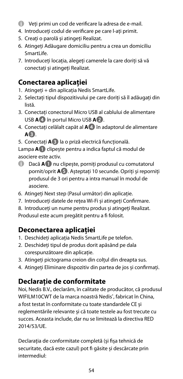- 4 Veți primi un cod de verificare la adresa de e-mail.
- 4. Introduceți codul de verificare pe care l-ați primit.
- 5. Creați o parolă și atingeți Realizat.
- 6. Atingeți Adăugare domiciliu pentru a crea un domiciliu SmartLife
- 7. Introduceți locația, alegeți camerele la care doriți să vă conectați și atingeți Realizat.

#### **Conectarea aplicației**

- 1. Atingeți + din aplicația Nedis SmartLife.
- 2. Selectați tipul dispozitivului pe care doriți să îl adăugați din listă.
- 3. Conectați conectorul Micro USB al cablului de alimentare USB **A4** în portul Micro USB **A2**.
- 4. Conectați celălalt capăt al **A4** în adaptorul de alimentare **A3**.
- 5. Conectați **A3** la o priză electrică funcțională.

Lampa **A1** clipește pentru a indica faptul că modul de asociere este activ.

- 4 Dacă **A1** nu clipește, porniți produsul cu comutatorul pornit/oprit **A5**. Așteptați 10 secunde. Opriți și reporniți produsul de 3 ori pentru a intra manual în modul de asociere.
- 6. Atingeți Next step (Pasul următor) din aplicație.
- 7. Introduceți datele de rețea Wi-Fi și atingeți Confirmare.
- 8. Introduceți un nume pentru produs și atingeți Realizat.

Produsul este acum pregătit pentru a fi folosit.

#### **Deconectarea aplicației**

- 1. Deschideți aplicația Nedis SmartLife pe telefon.
- 2. Deschideți tipul de produs dorit apăsând pe dala corespunzătoare din aplicație.
- 3. Atingeți pictograma creion din colțul din dreapta sus.
- 4. Atingeți Eliminare dispozitiv din partea de jos și confirmați.

#### **Declarație de conformitate**

Noi, Nedis B.V., declarăm, în calitate de producător, că produsul WIFILM10CWT de la marca noastră Nedis® , fabricat în China, a fost testat în conformitate cu toate standardele CE și reglementările relevante și că toate testele au fost trecute cu succes. Aceasta include, dar nu se limitează la directiva RED 2014/53/UE.

Declarația de conformitate completă (și fișa tehnică de securitate, dacă este cazul) pot fi găsite și descărcate prin intermediul: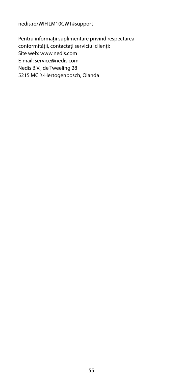#### nedis.ro/WIFILM10CWT#support

Pentru informații suplimentare privind respectarea conformității, contactați serviciul clienți: Site web: www.nedis.com E-mail: service@nedis.com Nedis B.V., de Tweeling 28 5215 MC 's-Hertogenbosch, Olanda